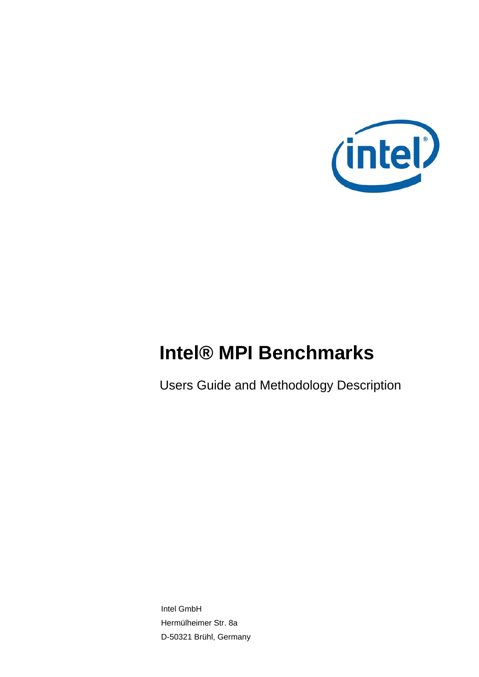

# **Intel® MPI Benchmarks**

Users Guide and Methodology Description

Intel GmbH Hermülheimer Str. 8a D-50321 Brühl, Germany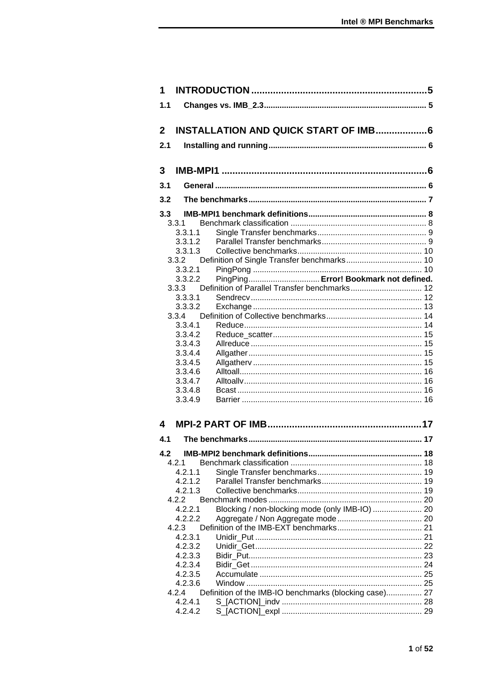| 1            |                                                        |  |
|--------------|--------------------------------------------------------|--|
| 1.1          |                                                        |  |
|              |                                                        |  |
| $\mathbf{2}$ | <b>INSTALLATION AND QUICK START OF IMB6</b>            |  |
| 2.1          |                                                        |  |
|              |                                                        |  |
| 3            |                                                        |  |
|              |                                                        |  |
| 3.1          |                                                        |  |
| 3.2          |                                                        |  |
| 3.3          |                                                        |  |
| 3.3.1        |                                                        |  |
| 3.3.1.1      |                                                        |  |
| 3.3.1.2      |                                                        |  |
| 3.3.1.3      |                                                        |  |
| 3.3.2        |                                                        |  |
| 3.3.2.1      |                                                        |  |
| 3.3.2.2      | PingPing Error! Bookmark not defined.                  |  |
| 3.3.3        |                                                        |  |
| 3.3.3.1      |                                                        |  |
| 3.3.3.2      |                                                        |  |
| 3.3.4        |                                                        |  |
| 3.3.4.1      |                                                        |  |
| 3.3.4.2      |                                                        |  |
| 3.3.4.3      |                                                        |  |
| 3.3.4.4      |                                                        |  |
| 3.3.4.5      |                                                        |  |
| 3.3.4.6      |                                                        |  |
| 3.3.4.7      |                                                        |  |
| 3.3.4.8      |                                                        |  |
| 3.3.4.9      |                                                        |  |
|              |                                                        |  |
| 4            |                                                        |  |
| 4.1          |                                                        |  |
| 4.2          |                                                        |  |
| 4.2.1        |                                                        |  |
| 4.2.1.1      |                                                        |  |
| 4.2.1.2      |                                                        |  |
| 4.2.1.3      |                                                        |  |
| 4.2.2        |                                                        |  |
| 4.2.2.1      | Blocking / non-blocking mode (only IMB-IO)  20         |  |
| 4.2.2.2      |                                                        |  |
| 4.2.3        |                                                        |  |
| 4.2.3.1      |                                                        |  |
| 4.2.3.2      |                                                        |  |
| 4.2.3.3      |                                                        |  |
| 4.2.3.4      |                                                        |  |
| 4.2.3.5      |                                                        |  |
| 4.2.3.6      |                                                        |  |
| 4.2.4        | Definition of the IMB-IO benchmarks (blocking case) 27 |  |
| 4.2.4.1      |                                                        |  |
| 4.2.4.2      |                                                        |  |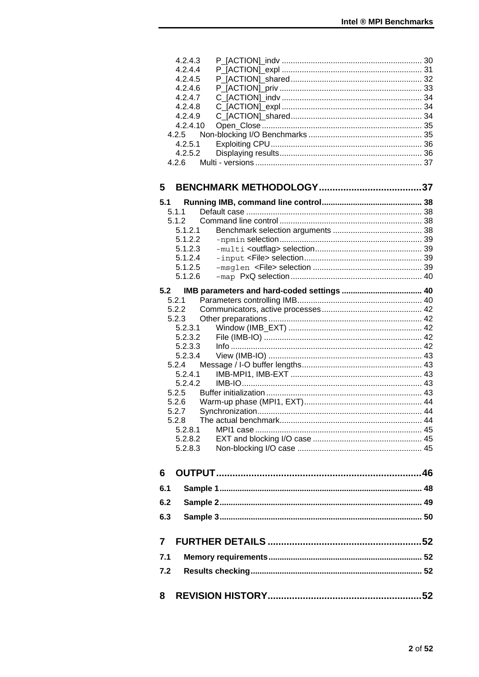|                | 4.2.4.3  |  |
|----------------|----------|--|
|                | 4.2.4.4  |  |
|                | 4.2.4.5  |  |
|                | 4.2.4.6  |  |
|                | 4.2.4.7  |  |
|                | 4.2.4.8  |  |
|                | 4.2.4.9  |  |
|                | 4.2.4.10 |  |
|                | 4.2.5    |  |
|                | 4.2.5.1  |  |
|                | 4.2.5.2  |  |
|                | 4.2.6    |  |
|                |          |  |
| 5              |          |  |
| 5.1            |          |  |
|                | 5.1.1    |  |
|                | 5.1.2    |  |
|                | 5.1.2.1  |  |
|                | 5.1.2.2  |  |
|                | 5.1.2.3  |  |
|                | 5.1.2.4  |  |
|                | 5.1.2.5  |  |
|                | 5.1.2.6  |  |
| 5.2            |          |  |
|                | 5.2.1    |  |
|                | 5.2.2    |  |
|                | 5.2.3    |  |
|                | 5.2.3.1  |  |
|                | 5.2.3.2  |  |
|                | 5.2.3.3  |  |
|                | 5.2.3.4  |  |
|                | 5.2.4    |  |
|                | 5.2.4.1  |  |
|                | 5.2.4.2  |  |
|                | 5.2.5    |  |
|                | 5.2.6    |  |
|                | 5.2.7    |  |
|                | 5.2.8    |  |
|                | 5.2.8.1  |  |
|                | 5.2.8.2  |  |
|                | 5.2.8.3  |  |
|                |          |  |
| 6              |          |  |
| 6.1            |          |  |
| 6.2            |          |  |
|                |          |  |
| 6.3            |          |  |
| $\overline{7}$ |          |  |
| 7.1            |          |  |
|                |          |  |
| 7.2            |          |  |
| 8              |          |  |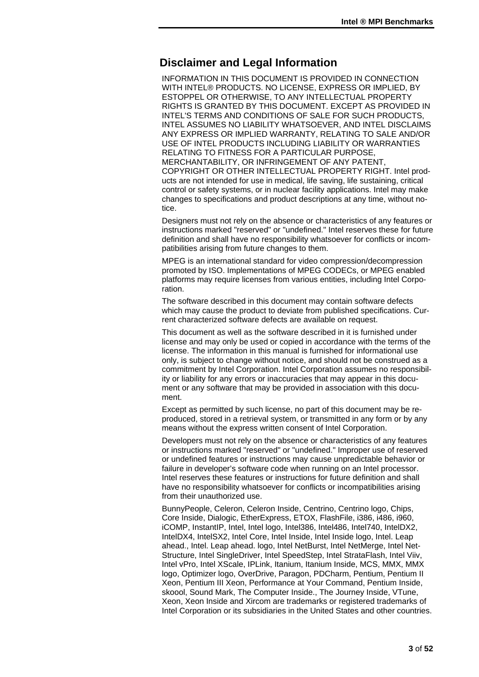# **Disclaimer and Legal Information**

INFORMATION IN THIS DOCUMENT IS PROVIDED IN CONNECTION WITH INTEL® PRODUCTS. NO LICENSE, EXPRESS OR IMPLIED, BY ESTOPPEL OR OTHERWISE, TO ANY INTELLECTUAL PROPERTY RIGHTS IS GRANTED BY THIS DOCUMENT. EXCEPT AS PROVIDED IN INTEL'S TERMS AND CONDITIONS OF SALE FOR SUCH PRODUCTS, INTEL ASSUMES NO LIABILITY WHATSOEVER, AND INTEL DISCLAIMS ANY EXPRESS OR IMPLIED WARRANTY, RELATING TO SALE AND/OR USE OF INTEL PRODUCTS INCLUDING LIABILITY OR WARRANTIES RELATING TO FITNESS FOR A PARTICULAR PURPOSE, MERCHANTABILITY, OR INFRINGEMENT OF ANY PATENT, COPYRIGHT OR OTHER INTELLECTUAL PROPERTY RIGHT. Intel products are not intended for use in medical, life saving, life sustaining, critical control or safety systems, or in nuclear facility applications. Intel may make changes to specifications and product descriptions at any time, without notice.

Designers must not rely on the absence or characteristics of any features or instructions marked "reserved" or "undefined." Intel reserves these for future definition and shall have no responsibility whatsoever for conflicts or incompatibilities arising from future changes to them.

MPEG is an international standard for video compression/decompression promoted by ISO. Implementations of MPEG CODECs, or MPEG enabled platforms may require licenses from various entities, including Intel Corporation.

The software described in this document may contain software defects which may cause the product to deviate from published specifications. Current characterized software defects are available on request.

This document as well as the software described in it is furnished under license and may only be used or copied in accordance with the terms of the license. The information in this manual is furnished for informational use only, is subject to change without notice, and should not be construed as a commitment by Intel Corporation. Intel Corporation assumes no responsibility or liability for any errors or inaccuracies that may appear in this document or any software that may be provided in association with this document.

Except as permitted by such license, no part of this document may be reproduced, stored in a retrieval system, or transmitted in any form or by any means without the express written consent of Intel Corporation.

Developers must not rely on the absence or characteristics of any features or instructions marked "reserved" or "undefined." Improper use of reserved or undefined features or instructions may cause unpredictable behavior or failure in developer's software code when running on an Intel processor. Intel reserves these features or instructions for future definition and shall have no responsibility whatsoever for conflicts or incompatibilities arising from their unauthorized use.

BunnyPeople, Celeron, Celeron Inside, Centrino, Centrino logo, Chips, Core Inside, Dialogic, EtherExpress, ETOX, FlashFile, i386, i486, i960, iCOMP, InstantIP, Intel, Intel logo, Intel386, Intel486, Intel740, IntelDX2, IntelDX4, IntelSX2, Intel Core, Intel Inside, Intel Inside logo, Intel. Leap ahead., Intel. Leap ahead. logo, Intel NetBurst, Intel NetMerge, Intel Net-Structure, Intel SingleDriver, Intel SpeedStep, Intel StrataFlash, Intel Viiv, Intel vPro, Intel XScale, IPLink, Itanium, Itanium Inside, MCS, MMX, MMX logo, Optimizer logo, OverDrive, Paragon, PDCharm, Pentium, Pentium II Xeon, Pentium III Xeon, Performance at Your Command, Pentium Inside, skoool, Sound Mark, The Computer Inside., The Journey Inside, VTune, Xeon, Xeon Inside and Xircom are trademarks or registered trademarks of Intel Corporation or its subsidiaries in the United States and other countries.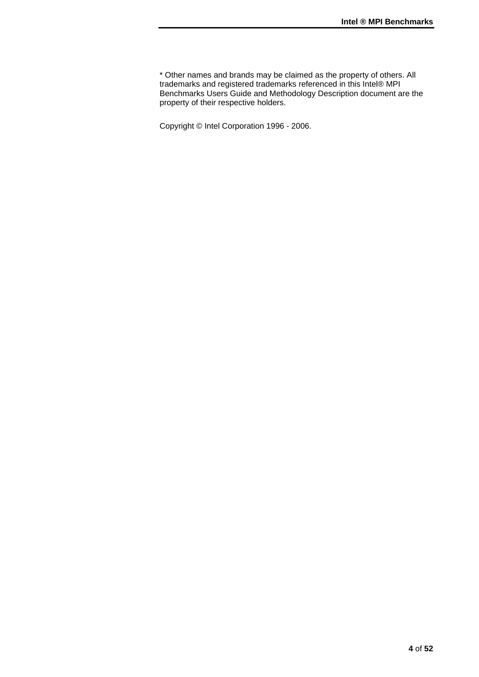\* Other names and brands may be claimed as the property of others. All trademarks and registered trademarks referenced in this Intel® MPI Benchmarks Users Guide and Methodology Description document are the property of their respective holders.

Copyright © Intel Corporation 1996 - 2006.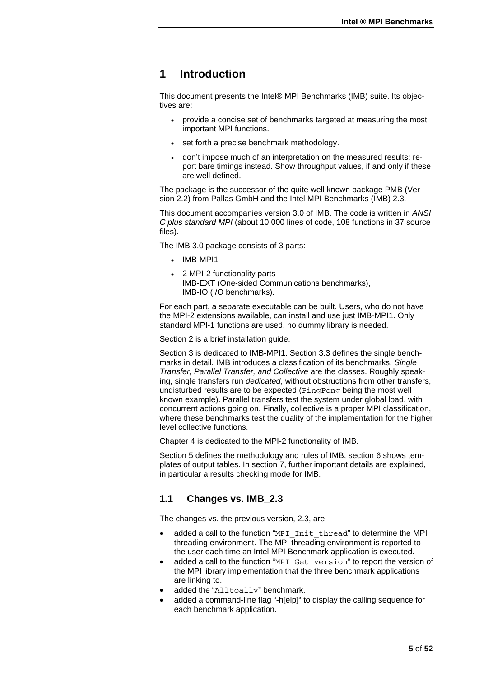# <span id="page-5-0"></span>**1 Introduction**

This document presents the Intel® MPI Benchmarks (IMB) suite. Its objectives are:

- provide a concise set of benchmarks targeted at measuring the most important MPI functions.
- set forth a precise benchmark methodology.
- don't impose much of an interpretation on the measured results: report bare timings instead. Show throughput values, if and only if these are well defined.

The package is the successor of the quite well known package PMB (Version 2.2) from Pallas GmbH and the Intel MPI Benchmarks (IMB) 2.3.

This document accompanies version 3.0 of IMB. The code is written in *ANSI C plus standard MPI* (about 10,000 lines of code, 108 functions in 37 source files).

The IMB 3.0 package consists of 3 parts:

- IMB-MPI1
- 2 MPI-2 functionality parts IMB-EXT (One-sided Communications benchmarks), IMB-IO (I/O benchmarks).

For each part, a separate executable can be built. Users, who do not have the MPI-2 extensions available, can install and use just IMB-MPI1. Only standard MPI-1 functions are used, no dummy library is needed.

Section [2](#page-6-1) is a brief installation guide.

Section [3](#page-6-2) is dedicated to IMB-MPI1. Section [3.3](#page-8-1) defines the single benchmarks in detail. IMB introduces a classification of its benchmarks. *Single Transfer, Parallel Transfer, and Collective* are the classes. Roughly speaking, single transfers run *dedicated*, without obstructions from other transfers, undisturbed results are to be expected (PingPong being the most well known example). Parallel transfers test the system under global load, with concurrent actions going on. Finally, collective is a proper MPI classification, where these benchmarks test the quality of the implementation for the higher level collective functions.

Chapter [4](#page-17-1) is dedicated to the MPI-2 functionality of IMB.

Section [5](#page-37-1) defines the methodology and rules of IMB, section [6](#page-46-1) shows templates of output tables. In section [7](#page-52-1), further important details are explained, in particular a results checking mode for IMB.

# **1.1 Changes vs. IMB\_2.3**

The changes vs. the previous version, 2.3, are:

- added a call to the function "MPI\_Init\_thread" to determine the MPI threading environment. The MPI threading environment is reported to the user each time an Intel MPI Benchmark application is executed.
- added a call to the function "MPI\_Get\_version" to report the version of the MPI library implementation that the three benchmark applications are linking to.
- added the "Alltoallv" benchmark.
- added a command-line flag "-h[elp]" to display the calling sequence for each benchmark application.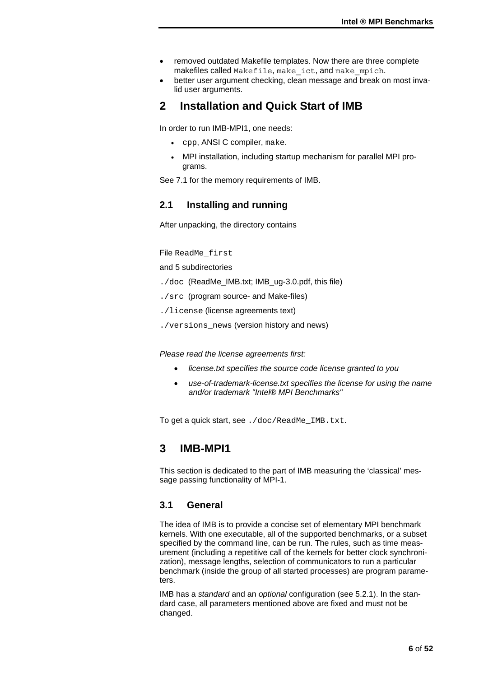- <span id="page-6-0"></span>• removed outdated Makefile templates. Now there are three complete makefiles called Makefile, make ict, and make mpich.
- better user argument checking, clean message and break on most invalid user arguments.

# <span id="page-6-1"></span>**2 Installation and Quick Start of IMB**

In order to run IMB-MPI1, one needs:

- cpp, ANSI C compiler, make.
- MPI installation, including startup mechanism for parallel MPI programs.

See [7.1](#page-52-2) for the memory requirements of IMB.

# **2.1 Installing and running**

After unpacking, the directory contains

File ReadMe\_first

and 5 subdirectories

./doc (ReadMe IMB.txt; IMB ug-3.0.pdf, this file)

./src (program source- and Make-files)

./license (license agreements text)

./versions\_news (version history and news)

*Please read the license agreements first:* 

- *license.txt specifies the source code license granted to you*
- *use-of-trademark-license.txt specifies the license for using the name and/or trademark "Intel® MPI Benchmarks"*

To get a quick start, see ./doc/ReadMe\_IMB.txt.

# <span id="page-6-2"></span>**3 IMB-MPI1**

This section is dedicated to the part of IMB measuring the 'classical' message passing functionality of MPI-1.

# **3.1 General**

The idea of IMB is to provide a concise set of elementary MPI benchmark kernels. With one executable, all of the supported benchmarks, or a subset specified by the command line, can be run. The rules, such as time measurement (including a repetitive call of the kernels for better clock synchronization), message lengths, selection of communicators to run a particular benchmark (inside the group of all started processes) are program parameters.

IMB has a *standard* and an *optional* configuration (see [5.2.1](#page-40-1)). In the standard case, all parameters mentioned above are fixed and must not be changed.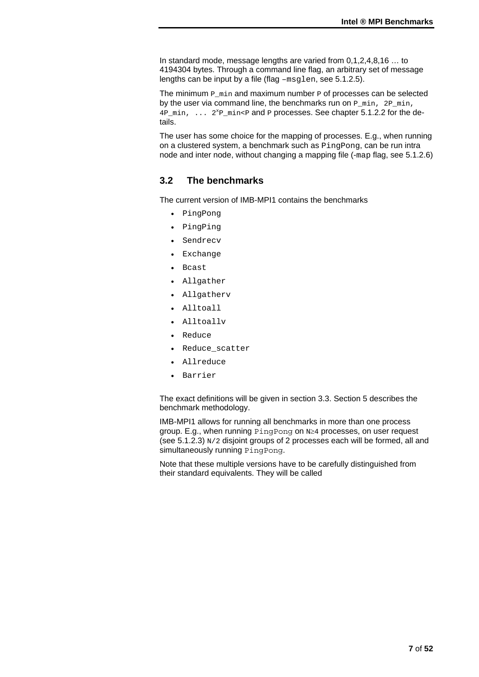<span id="page-7-0"></span>In standard mode, message lengths are varied from 0,1,2,4,8,16 … to 4194304 bytes. Through a command line flag, an arbitrary set of message lengths can be input by a file (flag -msglen, see [5.1.2.5](#page-39-1)).

The minimum  $P_{min}$  and maximum number  $P$  of processes can be selected by the user via command line, the benchmarks run on  $P_{min}$ ,  $2P_{min}$ , 4P  $min, \ldots$   $2^{x}P \text{ min} < P$  and P processes. See chapter [5.1.2.2](#page-39-2) for the details.

The user has some choice for the mapping of processes. E.g., when running on a clustered system, a benchmark such as PingPong, can be run intra node and inter node, without changing a mapping file (-map flag, see [5.1.2.6\)](#page-40-2)

# **3.2 The benchmarks**

The current version of IMB-MPI1 contains the benchmarks

- PingPong
- PingPing
- Sendrecv
- Exchange
- Bcast
- Allgather
- Allgatherv
- Alltoall
- Alltoallv
- Reduce
- Reduce scatter
- Allreduce
- Barrier

The exact definitions will be given in section [3.3](#page-8-1). Section [5](#page-37-1) describes the benchmark methodology.

IMB-MPI1 allows for running all benchmarks in more than one process group. E.g., when running PingPong on N≥4 processes, on user request (see  $5.1.2.3$ )  $N/2$  disjoint groups of 2 processes each will be formed, all and simultaneously running PingPong.

Note that these multiple versions have to be carefully distinguished from their standard equivalents. They will be called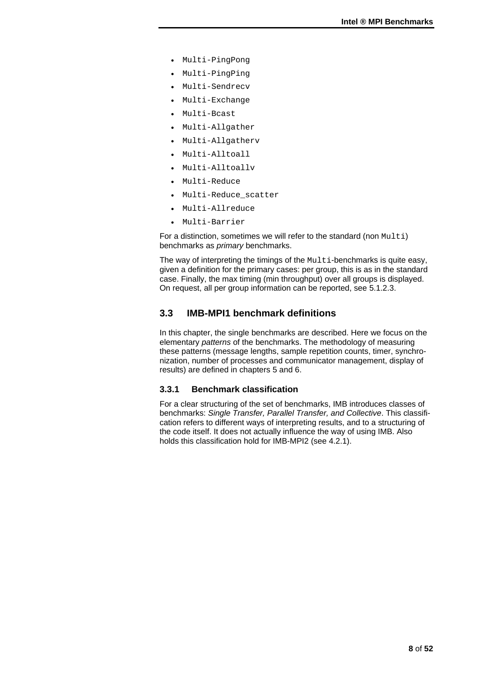- <span id="page-8-0"></span>• Multi-PingPong
- Multi-PingPing
- Multi-Sendrecv
- Multi-Exchange
- Multi-Bcast
- Multi-Allgather
- Multi-Allgatherv
- Multi-Alltoall
- Multi-Alltoallv
- Multi-Reduce
- Multi-Reduce scatter
- Multi-Allreduce
- Multi-Barrier

For a distinction, sometimes we will refer to the standard (non Multi) benchmarks as *primary* benchmarks.

The way of interpreting the timings of the Multi-benchmarks is quite easy, given a definition for the primary cases: per group, this is as in the standard case. Finally, the max timing (min throughput) over all groups is displayed. On request, all per group information can be reported, see [5.1.2.3.](#page-39-3)

# <span id="page-8-1"></span>**3.3 IMB-MPI1 benchmark definitions**

In this chapter, the single benchmarks are described. Here we focus on the elementary *patterns* of the benchmarks. The methodology of measuring these patterns (message lengths, sample repetition counts, timer, synchronization, number of processes and communicator management, display of results) are defined in chapters [5](#page-37-1) and [6](#page-46-1).

#### <span id="page-8-2"></span>**3.3.1 Benchmark classification**

For a clear structuring of the set of benchmarks, IMB introduces classes of benchmarks: *Single Transfer, Parallel Transfer, and Collective*. This classification refers to different ways of interpreting results, and to a structuring of the code itself. It does not actually influence the way of using IMB. Also holds this classification hold for IMB-MPI2 (see [4.2.1](#page-18-1)).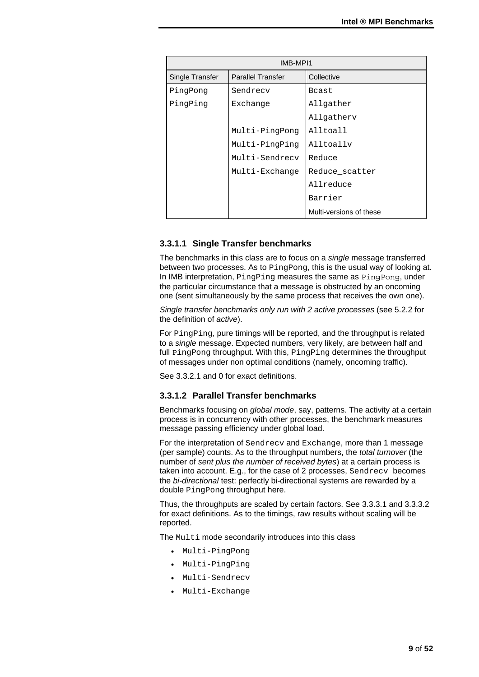<span id="page-9-0"></span>

| IMB-MPI1        |                          |                         |
|-----------------|--------------------------|-------------------------|
| Single Transfer | <b>Parallel Transfer</b> | Collective              |
| PingPong        | Sendrecy                 | <b>B</b> cast           |
| PingPing        | Exchange                 | Allgather               |
|                 |                          | Allgatherv              |
|                 | Multi-PingPong           | Alltoall                |
|                 | Multi-PingPing           | Alltoally               |
|                 | Multi-Sendrecy           | Reduce                  |
|                 | Multi-Exchange           | Reduce scatter          |
|                 |                          | Allreduce               |
|                 |                          | Barrier                 |
|                 |                          | Multi-versions of these |

### **3.3.1.1 Single Transfer benchmarks**

The benchmarks in this class are to focus on a *single* message transferred between two processes. As to PingPong, this is the usual way of looking at. In IMB interpretation, PingPing measures the same as PingPong, under the particular circumstance that a message is obstructed by an oncoming one (sent simultaneously by the same process that receives the own one).

*Single transfer benchmarks only run with 2 active processes* (see [5.2.2](#page-42-1) for the definition of *active*).

For PingPing, pure timings will be reported, and the throughput is related to a *single* message. Expected numbers, very likely, are between half and full PingPong throughput. With this, PingPing determines the throughput of messages under non optimal conditions (namely, oncoming traffic).

See [3.3.2.1](#page-10-1) and 0 for exact definitions.

#### **3.3.1.2 Parallel Transfer benchmarks**

Benchmarks focusing on *global mode*, say, patterns. The activity at a certain process is in concurrency with other processes, the benchmark measures message passing efficiency under global load.

For the interpretation of Sendrecv and Exchange, more than 1 message (per sample) counts. As to the throughput numbers, the *total turnover* (the number of *sent plus the number of received bytes*) at a certain process is taken into account. E.g., for the case of 2 processes, Sendrecv becomes the *bi-directional* test: perfectly bi-directional systems are rewarded by a double PingPong throughput here.

Thus, the throughputs are scaled by certain factors. See [3.3.3.1](#page-12-1) and [3.3.3.2](#page-13-1) for exact definitions. As to the timings, raw results without scaling will be reported.

The Multi mode secondarily introduces into this class

- Multi-PingPong
- Multi-PingPing
- Multi-Sendrecv
- Multi-Exchange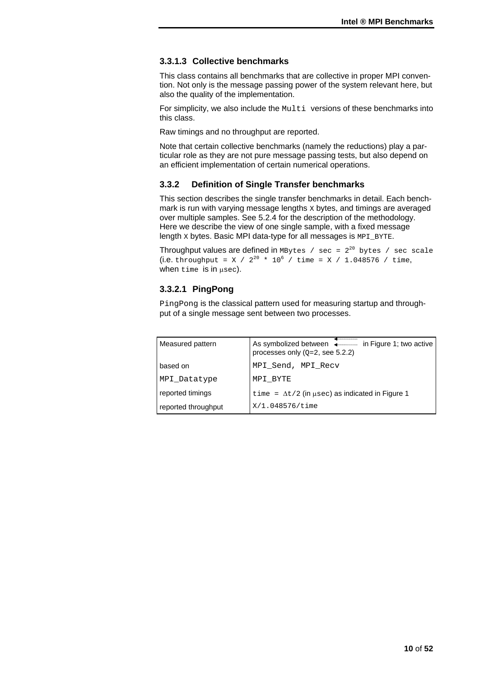### <span id="page-10-0"></span>**3.3.1.3 Collective benchmarks**

This class contains all benchmarks that are collective in proper MPI convention. Not only is the message passing power of the system relevant here, but also the quality of the implementation.

For simplicity, we also include the Multi versions of these benchmarks into this class.

Raw timings and no throughput are reported.

Note that certain collective benchmarks (namely the reductions) play a particular role as they are not pure message passing tests, but also depend on an efficient implementation of certain numerical operations.

### **3.3.2 Definition of Single Transfer benchmarks**

This section describes the single transfer benchmarks in detail. Each benchmark is run with varying message lengths  $x$  bytes, and timings are averaged over multiple samples. See [5.2.4](#page-43-1) for the description of the methodology. Here we describe the view of one single sample, with a fixed message length x bytes. Basic MPI data-type for all messages is MPI\_BYTE.

Throughput values are defined in MBytes / sec =  $2^{20}$  bytes / sec scale (i.e. throughput =  $X / 2^{20}$  \* 10<sup>6</sup> / time =  $X / 1.048576$  / time, when time is in usec).

# <span id="page-10-1"></span>**3.3.2.1 PingPong**

PingPong is the classical pattern used for measuring startup and throughput of a single message sent between two processes.

<span id="page-10-2"></span>

| Measured pattern    | <br>As symbolized between <------------- in Figure 1; two active<br>processes only ( $Q=2$ , see 5.2.2) |
|---------------------|---------------------------------------------------------------------------------------------------------|
| based on            | MPI Send, MPI Recv                                                                                      |
| MPI Datatype        | MPI BYTE                                                                                                |
| reported timings    | time = $\Delta t/2$ (in $\mu$ sec) as indicated in Figure 1                                             |
| reported throughput | X/1.048576/time                                                                                         |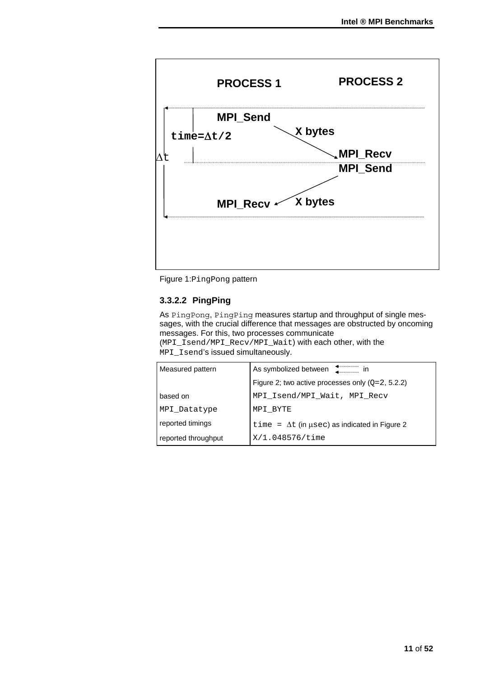

Figure 1:PingPong pattern

# **3.3.2.2 PingPing**

As PingPong, PingPing measures startup and throughput of single messages, with the crucial difference that messages are obstructed by oncoming messages. For this, two processes communicate

(MPI\_Isend/MPI\_Recv/MPI\_Wait) with each other, with the MPI\_Isend's issued simultaneously.

| Measured pattern    | As symbolized between<br>ın                               |
|---------------------|-----------------------------------------------------------|
|                     | Figure 2; two active processes only $(Q=2, 5.2.2)$        |
| based on            | MPI_Isend/MPI_Wait, MPI_Recv                              |
| MPI Datatype        | MPI BYTE                                                  |
| reported timings    | time = $\Delta t$ (in $\mu$ sec) as indicated in Figure 2 |
| reported throughput | X/1.048576/time                                           |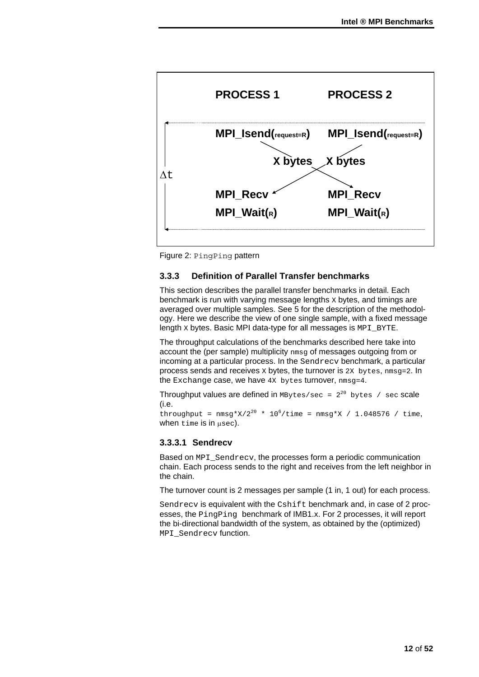<span id="page-12-2"></span><span id="page-12-0"></span>



#### **3.3.3 Definition of Parallel Transfer benchmarks**

This section describes the parallel transfer benchmarks in detail. Each benchmark is run with varying message lengths x bytes, and timings are averaged over multiple samples. See 5 for the description of the methodology. Here we describe the view of one single sample, with a fixed message length x bytes. Basic MPI data-type for all messages is MPI\_BYTE.

The throughput calculations of the benchmarks described here take into account the (per sample) multiplicity nmsg of messages outgoing from or incoming at a particular process. In the Sendrecv benchmark, a particular process sends and receives x bytes, the turnover is 2x bytes, nmsg=2. In the Exchange case, we have  $4x$  bytes turnover,  $nmsq=4$ .

Throughput values are defined in MBytes/sec =  $2^{20}$  bytes / sec Scale  $(i.e.$ 

throughput =  $nmsq*X/2^{20} * 10^{6}/time$  =  $nmsq*X / 1.048576 / time$ . when time is in  $usec)$ .

#### <span id="page-12-1"></span>**3.3.3.1 Sendrecv**

Based on MPI\_Sendrecy, the processes form a periodic communication chain. Each process sends to the right and receives from the left neighbor in the chain.

The turnover count is 2 messages per sample (1 in, 1 out) for each process.

Sendrecv is equivalent with the Cshift benchmark and, in case of 2 processes, the PingPing benchmark of IMB1.x. For 2 processes, it will report the bi-directional bandwidth of the system, as obtained by the (optimized) MPI Sendrecy function.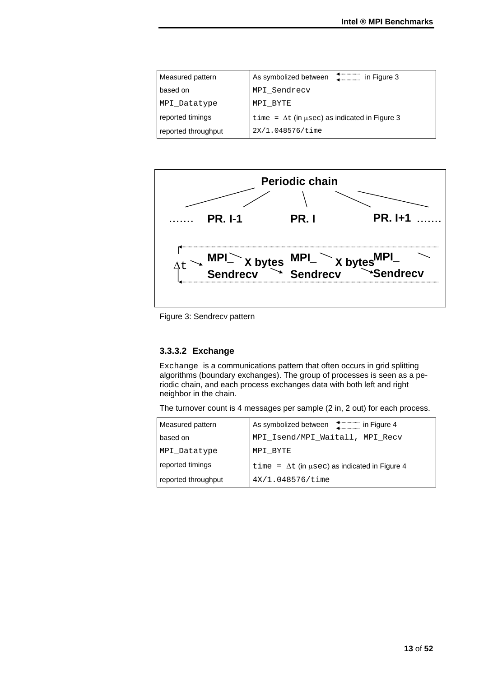<span id="page-13-0"></span>

| Measured pattern    | As symbolized between                                     | in Figure 3 |
|---------------------|-----------------------------------------------------------|-------------|
| based on            | MPI_Sendrecv                                              |             |
| MPI_Datatype        | MPI BYTE                                                  |             |
| reported timings    | time = $\Delta t$ (in $\mu$ sec) as indicated in Figure 3 |             |
| reported throughput | 2X/1.048576/time                                          |             |



Figure 3: Sendrecv pattern

#### <span id="page-13-1"></span>**3.3.3.2 Exchange**

Exchange is a communications pattern that often occurs in grid splitting algorithms (boundary exchanges). The group of processes is seen as a periodic chain, and each process exchanges data with both left and right neighbor in the chain.

The turnover count is 4 messages per sample (2 in, 2 out) for each process.

| Measured pattern    | As symbolized between <b>the set of the Symbolized between</b> |
|---------------------|----------------------------------------------------------------|
| based on            | MPI_Isend/MPI_Waitall, MPI_Recv                                |
| MPI Datatype        | MPI BYTE                                                       |
| reported timings    | time = $\Delta t$ (in $\mu$ sec) as indicated in Figure 4      |
| reported throughput | 4X/1.048576/time                                               |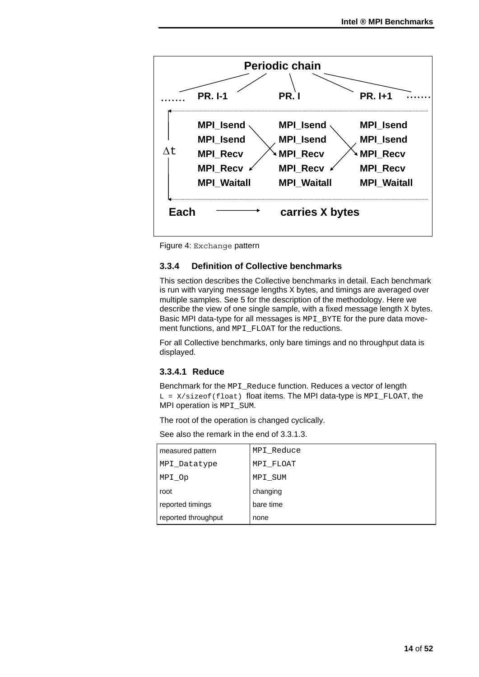<span id="page-14-0"></span>

Figure 4: Exchange pattern

# **3.3.4 Definition of Collective benchmarks**

This section describes the Collective benchmarks in detail. Each benchmark is run with varying message lengths x bytes, and timings are averaged over multiple samples. See 5 for the description of the methodology. Here we describe the view of one single sample, with a fixed message length X bytes. Basic MPI data-type for all messages is MPI\_BYTE for the pure data movement functions, and MPI\_FLOAT for the reductions.

For all Collective benchmarks, only bare timings and no throughput data is displayed.

# **3.3.4.1 Reduce**

Benchmark for the MPI\_Reduce function. Reduces a vector of length  $L = X/sizeof(float)$  float items. The MPI data-type is MPI\_FLOAT, the MPI operation is MPI\_SUM.

The root of the operation is changed cyclically.

| measured pattern    | MPI Reduce |
|---------------------|------------|
| MPI Datatype        | MPI FLOAT  |
| MPI Op              | MPI SUM    |
| root                | changing   |
| reported timings    | bare time  |
| reported throughput | none       |

See also the remark in the end of 3.3.1.3.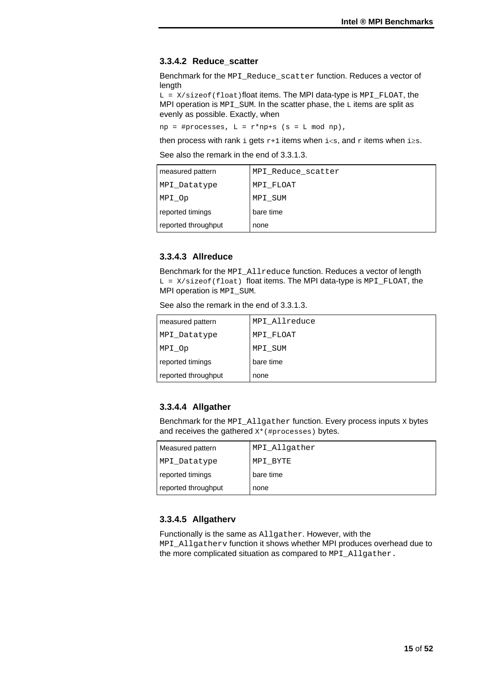#### <span id="page-15-0"></span>**3.3.4.2 Reduce\_scatter**

Benchmark for the MPI\_Reduce\_scatter function. Reduces a vector of length

 $L = X/sizeof(float)$  float items. The MPI data-type is MPI\_FLOAT, the MPI operation is MPI\_SUM. In the scatter phase, the L items are split as evenly as possible. Exactly, when

 $np = #processes, L = r * np + s (s = L mod np),$ 

then process with rank i gets  $r+1$  items when  $i\leq s$ , and r items when  $i\geq s$ .

See also the remark in the end of 3.3.1.3.

| measured pattern    | MPI Reduce scatter |
|---------------------|--------------------|
| MPI Datatype        | MPI FLOAT          |
| MPI Op              | MPI SUM            |
| reported timings    | bare time          |
| reported throughput | none               |

# **3.3.4.3 Allreduce**

Benchmark for the MPI\_Allreduce function. Reduces a vector of length  $L = X/sizeof(float)$  float items. The MPI data-type is  $MPI\_FLOAT$ , the MPI operation is MPI\_SUM.

See also the remark in the end of 3.3.1.3.

| measured pattern    | MPI Allreduce |
|---------------------|---------------|
| MPI Datatype        | MPI FLOAT     |
| MPI Op              | MPI SUM       |
| reported timings    | bare time     |
| reported throughput | none          |

#### **3.3.4.4 Allgather**

Benchmark for the MPI\_Allgather function. Every process inputs x bytes and receives the gathered  $x^*$  (#processes) bytes.

| Measured pattern    | MPI Allgather |
|---------------------|---------------|
| MPI Datatype        | MPI BYTE      |
| reported timings    | bare time     |
| reported throughput | none          |

# **3.3.4.5 Allgatherv**

Functionally is the same as Allgather. However, with the MPI\_Allgatherv function it shows whether MPI produces overhead due to the more complicated situation as compared to MPI\_Allgather.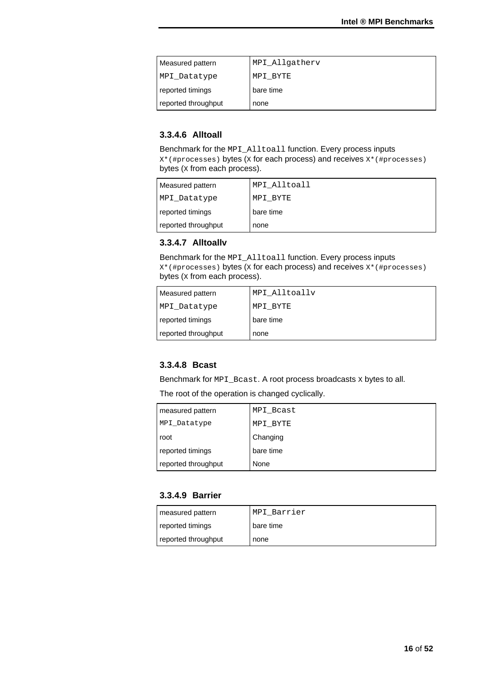<span id="page-16-0"></span>

| Measured pattern    | MPI Allgatherv |
|---------------------|----------------|
| MPI Datatype        | MPI BYTE       |
| reported timings    | bare time      |
| reported throughput | none           |

# **3.3.4.6 Alltoall**

Benchmark for the MPI\_Alltoall function. Every process inputs X\*(#processes) bytes (X for each process) and receives X\*(#processes) bytes (x from each process).

| Measured pattern    | MPI Alltoall |
|---------------------|--------------|
| MPI Datatype        | MPI BYTE     |
| reported timings    | bare time    |
| reported throughput | none         |

# **3.3.4.7 Alltoallv**

Benchmark for the MPI\_Alltoall function. Every process inputs X\*(#processes) bytes (X for each process) and receives X\*(#processes) bytes (x from each process).

| Measured pattern    | MPI Alltoallv |
|---------------------|---------------|
| MPI Datatype        | MPI BYTE      |
| reported timings    | bare time     |
| reported throughput | none          |

# **3.3.4.8 Bcast**

Benchmark for MPI\_Bcast. A root process broadcasts x bytes to all.

The root of the operation is changed cyclically.

| measured pattern    | MPI Bcast |
|---------------------|-----------|
| MPI Datatype        | MPI BYTE  |
| root                | Changing  |
| reported timings    | bare time |
| reported throughput | None      |

# **3.3.4.9 Barrier**

| measured pattern    | MPI Barrier |
|---------------------|-------------|
| reported timings    | bare time   |
| reported throughput | none        |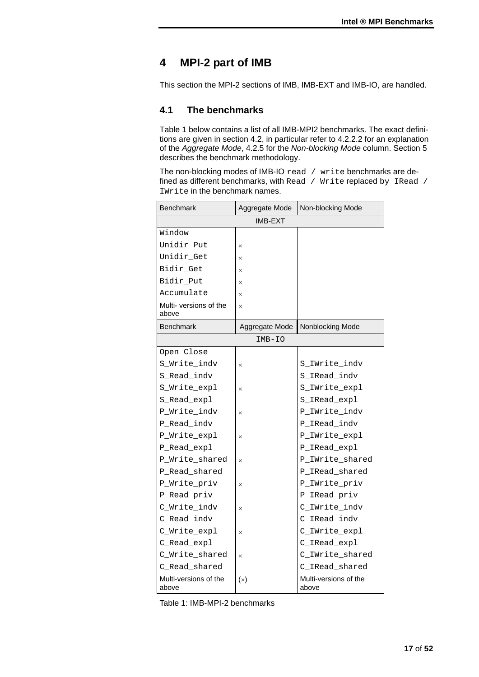# <span id="page-17-1"></span><span id="page-17-0"></span>**4 MPI-2 part of IMB**

This section the MPI-2 sections of IMB, IMB-EXT and IMB-IO, are handled.

# **4.1 The benchmarks**

Table 1 below contains a list of all IMB-MPI2 benchmarks. The exact definitions are given in section 4.2, in particular refer to 4.2.2.2 for an explanation of the *Aggregate Mode*, 4.2.5 for the *Non-blocking Mode* column. Section 5 describes the benchmark methodology.

The non-blocking modes of IMB-IO read / write benchmarks are defined as different benchmarks, with Read / Write replaced by IRead / IWrite in the benchmark names.

| <b>Benchmark</b>                | Aggregate Mode | Non-blocking Mode              |
|---------------------------------|----------------|--------------------------------|
|                                 | IMB-EXT        |                                |
| Window                          |                |                                |
| Unidir_Put                      | $\times$       |                                |
| Unidir_Get                      | $\times$       |                                |
| Bidir Get                       | $\times$       |                                |
| Bidir Put                       | $\times$       |                                |
| Accumulate                      | $\times$       |                                |
| Multi- versions of the<br>above | $\times$       |                                |
| <b>Benchmark</b>                | Aggregate Mode | Nonblocking Mode               |
|                                 | IMB-IO         |                                |
| Open_Close                      |                |                                |
| S_Write_indv                    | $\times$       | S IWrite indv                  |
| S_Read_indv                     |                | S_IRead_indv                   |
| S_Write_expl                    | $\times$       | S_IWrite_expl                  |
| S_Read_expl                     |                | S_IRead_expl                   |
| P_Write_indv                    | $\times$       | P_IWrite_indv                  |
| P_Read_indv                     |                | P_IRead_indv                   |
| P_Write_expl                    | $\times$       | P_IWrite_expl                  |
| P_Read_expl                     |                | P_IRead_expl                   |
| P_Write_shared                  | $\times$       | P_IWrite_shared                |
| P Read shared                   |                | P IRead shared                 |
| P_Write_priv                    | $\times$       | P_IWrite_priv                  |
| P_Read_priv                     |                | P_IRead_priv                   |
| C_Write_indv                    | $\times$       | C_IWrite_indv                  |
| C_Read_indv                     |                | C_IRead_indv                   |
| C_Write_expl                    | $\times$       | C_IWrite_expl                  |
| C_Read_expl                     |                | C_IRead_expl                   |
| C_Write_shared                  | $\times$       | C_IWrite_shared                |
| C_Read_shared                   |                | C_IRead_shared                 |
| Multi-versions of the<br>above  | $(\times)$     | Multi-versions of the<br>above |

Table 1: IMB-MPI-2 benchmarks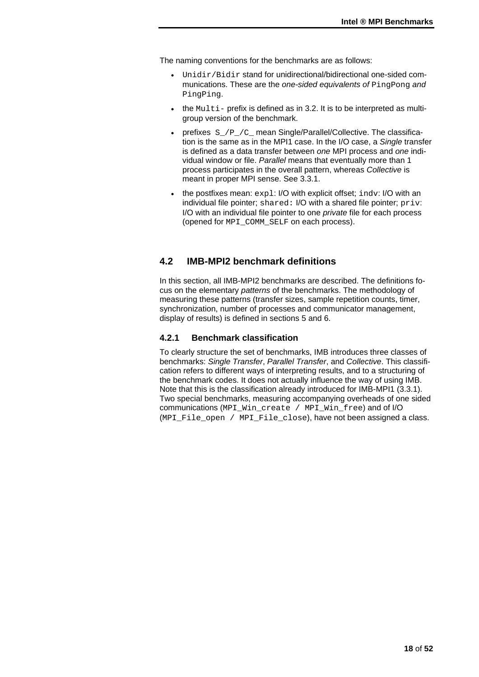<span id="page-18-0"></span>The naming conventions for the benchmarks are as follows:

- Unidir/Bidir stand for unidirectional/bidirectional one-sided communications. These are the *one-sided equivalents of* PingPong *and*  PingPing.
- the  $Multi- prefix$  is defined as in [3.2](#page-8-2). It is to be interpreted as multigroup version of the benchmark.
- prefixes S\_/P\_/C\_ mean Single/Parallel/Collective. The classification is the same as in the MPI1 case. In the I/O case, a *Single* transfer is defined as a data transfer between *one* MPI process and *one* individual window or file. *Parallel* means that eventually more than 1 process participates in the overall pattern, whereas *Collective* is meant in proper MPI sense. See 3.3.1.
- the postfixes mean: expl: I/O with explicit offset; indv: I/O with an individual file pointer; shared:  $I/O$  with a shared file pointer;  $priv$ : I/O with an individual file pointer to one *private* file for each process (opened for MPI\_COMM\_SELF on each process).

# **4.2 IMB-MPI2 benchmark definitions**

In this section, all IMB-MPI2 benchmarks are described. The definitions focus on the elementary *patterns* of the benchmarks. The methodology of measuring these patterns (transfer sizes, sample repetition counts, timer, synchronization, number of processes and communicator management, display of results) is defined in sections 5 and 6.

#### <span id="page-18-1"></span>**4.2.1 Benchmark classification**

To clearly structure the set of benchmarks, IMB introduces three classes of benchmarks: *Single Transfer*, *Parallel Transfer*, and *Collective*. This classification refers to different ways of interpreting results, and to a structuring of the benchmark codes. It does not actually influence the way of using IMB. Note that this is the classification already introduced for IMB-MPI1 (3.3.1). Two special benchmarks, measuring accompanying overheads of one sided communications (MPI\_Win\_create / MPI\_Win\_free) and of I/O (MPI\_File\_open / MPI\_File\_close), have not been assigned a class.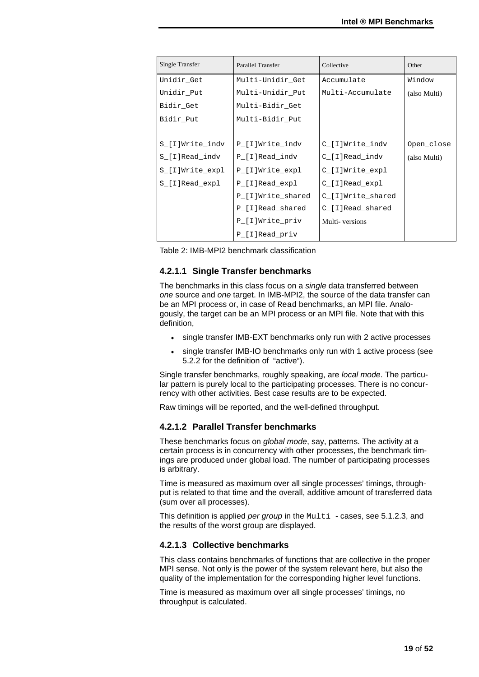<span id="page-19-0"></span>

| Single Transfer | <b>Parallel Transfer</b> | Collective        | Other        |
|-----------------|--------------------------|-------------------|--------------|
| Unidir_Get      | Multi-Unidir Get         | Accumulate        | Window       |
| Unidir_Put      | Multi-Unidir_Put         | Multi-Accumulate  | (also Multi) |
| Bidir Get       | Multi-Bidir Get          |                   |              |
| Bidir Put       | Multi-Bidir Put          |                   |              |
|                 |                          |                   |              |
| S [I]Write_indv | P_[I]Write_indv          | C [I]Write_indv   | Open_close   |
| S [I]Read_indv  | P [I]Read_indv           | $C[I]$ Read indy  | (also Multi) |
| S_[I]Write_expl | P [I]Write_expl          | C_[I]Write_expl   |              |
| S [I]Read expl  | P [I]Read_expl           | C [I]Read expl    |              |
|                 | P [I]Write_shared        | C [I]Write shared |              |
|                 | P [I]Read shared         | C [I]Read shared  |              |
|                 | P [I]Write_priv          | Multi-versions    |              |
|                 | P [I]Read priv           |                   |              |

#### **4.2.1.1 Single Transfer benchmarks**

The benchmarks in this class focus on a *single* data transferred between *one* source and *one* target. In IMB-MPI2, the source of the data transfer can be an MPI process or, in case of Read benchmarks, an MPI file. Analogously, the target can be an MPI process or an MPI file. Note that with this definition,

- single transfer IMB-EXT benchmarks only run with 2 active processes
- single transfer IMB-IO benchmarks only run with 1 active process (see 5.2.2 for the definition of "active").

Single transfer benchmarks, roughly speaking, are *local mode*. The particular pattern is purely local to the participating processes. There is no concurrency with other activities. Best case results are to be expected.

Raw timings will be reported, and the well-defined throughput.

#### **4.2.1.2 Parallel Transfer benchmarks**

These benchmarks focus on *global mode*, say, patterns. The activity at a certain process is in concurrency with other processes, the benchmark timings are produced under global load. The number of participating processes is arbitrary.

Time is measured as maximum over all single processes' timings, throughput is related to that time and the overall, additive amount of transferred data (sum over all processes).

This definition is applied *per group* in the Multi - cases, see 5.1.2.3, and the results of the worst group are displayed.

#### **4.2.1.3 Collective benchmarks**

This class contains benchmarks of functions that are collective in the proper MPI sense. Not only is the power of the system relevant here, but also the quality of the implementation for the corresponding higher level functions.

Time is measured as maximum over all single processes' timings, no throughput is calculated.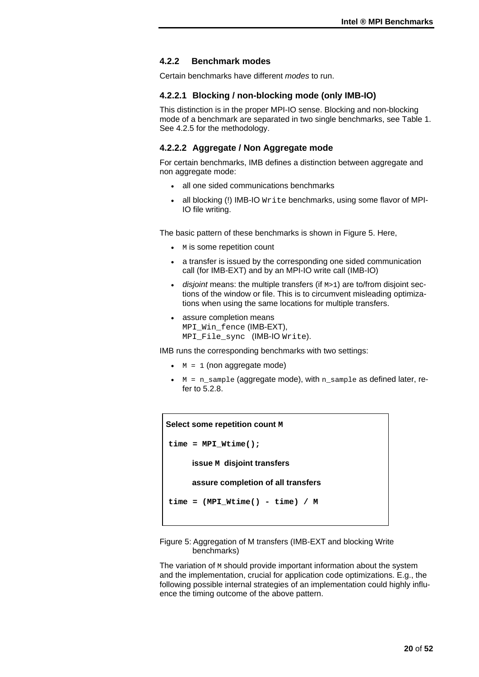### <span id="page-20-0"></span>**4.2.2 Benchmark modes**

Certain benchmarks have different *modes* to run.

#### **4.2.2.1 Blocking / non-blocking mode (only IMB-IO)**

This distinction is in the proper MPI-IO sense. Blocking and non-blocking mode of a benchmark are separated in two single benchmarks, see Table 1. See 4.2.5 for the methodology.

### **4.2.2.2 Aggregate / Non Aggregate mode**

For certain benchmarks, IMB defines a distinction between aggregate and non aggregate mode:

- all one sided communications benchmarks
- all blocking (!) IMB-IO write benchmarks, using some flavor of MPI-IO file writing.

The basic pattern of these benchmarks is shown in Figure 5. Here,

- M is some repetition count
- a transfer is issued by the corresponding one sided communication call (for IMB-EXT) and by an MPI-IO write call (IMB-IO)
- *disjoint* means: the multiple transfers (if  $M>1$ ) are to/from disjoint sections of the window or file. This is to circumvent misleading optimizations when using the same locations for multiple transfers.
- assure completion means MPI Win fence (IMB-EXT), MPI\_File\_sync (IMB-IO Write).

IMB runs the corresponding benchmarks with two settings:

- $M = 1$  (non aggregate mode)
- $M = n$  sample (aggregate mode), with  $n$  sample as defined later, refer to 5.2.8.

```
 Select some repetition count M
 time = MPI_Wtime();
       issue M disjoint transfers 
       assure completion of all transfers 
 time = (MPI_Wtime() - time) / M
```
Figure 5: Aggregation of M transfers (IMB-EXT and blocking Write benchmarks)

The variation of M should provide important information about the system and the implementation, crucial for application code optimizations. E.g., the following possible internal strategies of an implementation could highly influence the timing outcome of the above pattern.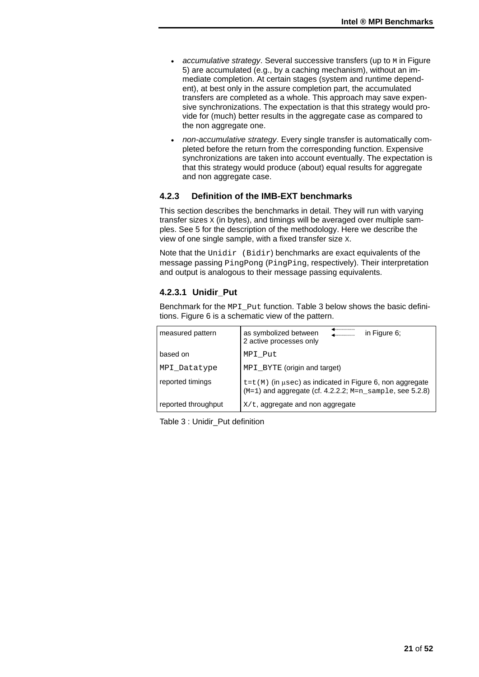- <span id="page-21-0"></span>accumulative strategy. Several successive transfers (up to M in Figure 5) are accumulated (e.g., by a caching mechanism), without an immediate completion. At certain stages (system and runtime dependent), at best only in the assure completion part, the accumulated transfers are completed as a whole. This approach may save expensive synchronizations. The expectation is that this strategy would provide for (much) better results in the aggregate case as compared to the non aggregate one.
- *non-accumulative strategy*. Every single transfer is automatically completed before the return from the corresponding function. Expensive synchronizations are taken into account eventually. The expectation is that this strategy would produce (about) equal results for aggregate and non aggregate case.

### **4.2.3 Definition of the IMB-EXT benchmarks**

This section describes the benchmarks in detail. They will run with varying transfer sizes  $x$  (in bytes), and timings will be averaged over multiple samples. See 5 for the description of the methodology. Here we describe the view of one single sample, with a fixed transfer size X.

Note that the Unidir (Bidir) benchmarks are exact equivalents of the message passing PingPong (PingPing, respectively). Their interpretation and output is analogous to their message passing equivalents.

# **4.2.3.1 Unidir\_Put**

Benchmark for the MPI Put function. Table 3 below shows the basic definitions. Figure 6 is a schematic view of the pattern.

| measured pattern    | .<br>as symbolized between<br>in Figure 6;<br><br>2 active processes only                                             |
|---------------------|-----------------------------------------------------------------------------------------------------------------------|
| based on            | MPI Put                                                                                                               |
| MPI Datatype        | MPI_BYTE (origin and target)                                                                                          |
| reported timings    | t=t (M) (in usec) as indicated in Figure 6, non aggregate<br>(M=1) and aggregate (cf. 4.2.2.2; M=n_sample, see 5.2.8) |
| reported throughput | X/t, aggregate and non aggregate                                                                                      |

Table 3 : Unidir\_Put definition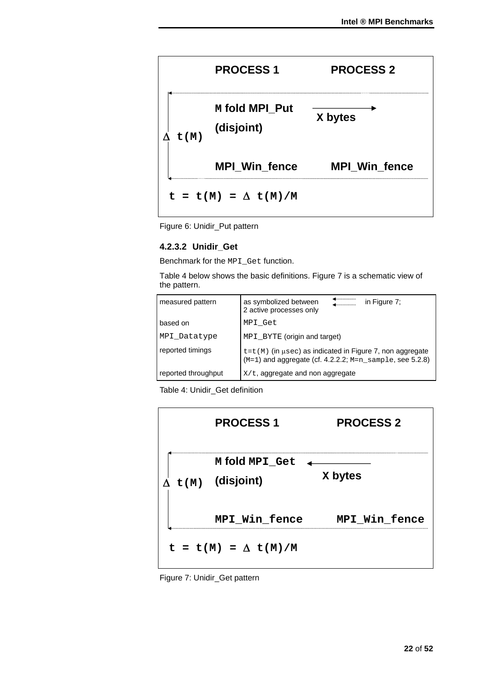<span id="page-22-0"></span>

Figure 6: Unidir\_Put pattern

# **4.2.3.2 Unidir\_Get**

Benchmark for the MPI\_Get function.

Table 4 below shows the basic definitions. Figure 7 is a schematic view of the pattern.

| measured pattern    | .<br>as symbolized between<br>in Figure 7;<br>.<br>2 active processes only                                                |  |
|---------------------|---------------------------------------------------------------------------------------------------------------------------|--|
| based on            | MPI Get                                                                                                                   |  |
| MPI Datatype        | MPI_BYTE (origin and target)                                                                                              |  |
| reported timings    | t=t (M) (in usec) as indicated in Figure 7, non aggregate<br>$(M=1)$ and aggregate (cf. 4.2.2.2; $M=n$ sample, see 5.2.8) |  |
| reported throughput | X/t, aggregate and non aggregate                                                                                          |  |

Table 4: Unidir\_Get definition

|      | <b>PROCESS1</b>              | <b>PROCESS 2</b> |
|------|------------------------------|------------------|
| t(M) | M fold MPI Get<br>(disjoint) | x bytes          |
|      | <b>MPI Win fence</b>         | MPI Win fence    |
|      | t = t(M) = $\Delta$ t(M)/M   |                  |

Figure 7: Unidir\_Get pattern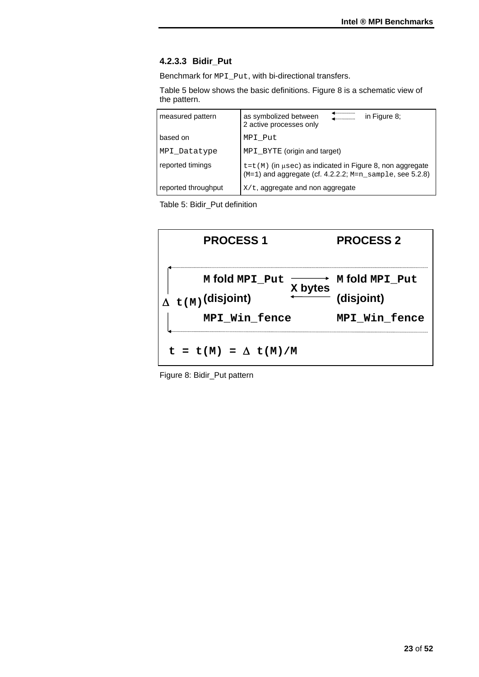## <span id="page-23-0"></span>**4.2.3.3 Bidir\_Put**

Benchmark for MPI\_Put, with bi-directional transfers.

Table 5 below shows the basic definitions. Figure 8 is a schematic view of the pattern.

| measured pattern    | <br>as symbolized between<br>in Figure 8;<br>.<br>2 active processes only                                                  |  |
|---------------------|----------------------------------------------------------------------------------------------------------------------------|--|
| based on            | MPI Put                                                                                                                    |  |
| MPI Datatype        | MPI_BYTE (origin and target)                                                                                               |  |
| reported timings    | t=t (M) (in usec) as indicated in Figure 8, non aggregate<br>$(M=1)$ and aggregate (cf. 4.2.2.2; $M=n$ _sample, see 5.2.8) |  |
| reported throughput | X/t, aggregate and non aggregate                                                                                           |  |

Table 5: Bidir\_Put definition

| <b>PROCESS1</b>                                       | <b>PROCESS 2</b>             |
|-------------------------------------------------------|------------------------------|
| M fold MPI_Put<br>x bytes<br>$_{\tt t(M)}$ (disjoint) | M fold MPI Put<br>(disjoint) |
| MPI Win fence                                         | MPI Win fence                |
| $t = t(M) = \Delta t(M)/M$                            |                              |

Figure 8: Bidir\_Put pattern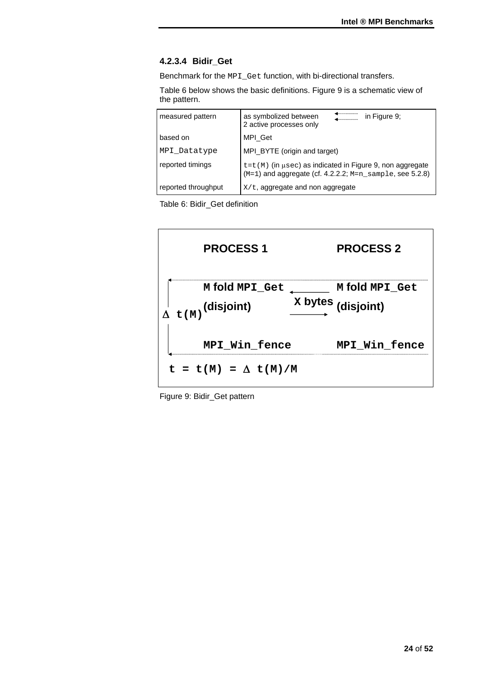## <span id="page-24-0"></span>**4.2.3.4 Bidir\_Get**

Benchmark for the MPI\_Get function, with bi-directional transfers.

Table 6 below shows the basic definitions. Figure 9 is a schematic view of the pattern.

| measured pattern    | .<br>in Figure 9;<br>as symbolized between<br>.<br>2 active processes only                                                      |
|---------------------|---------------------------------------------------------------------------------------------------------------------------------|
| based on            | MPI Get                                                                                                                         |
| MPI Datatype        | MPI_BYTE (origin and target)                                                                                                    |
| reported timings    | t=t (M) (in $\mu$ sec) as indicated in Figure 9, non aggregate<br>$(M=1)$ and aggregate (cf. 4.2.2.2; $M=n$ _sample, see 5.2.8) |
| reported throughput | X/t, aggregate and non aggregate                                                                                                |

Table 6: Bidir\_Get definition

| <b>PROCESS1</b>                     | <b>PROCESS 2</b>                     |
|-------------------------------------|--------------------------------------|
| M fold MPI_Get<br>$t(M)$ (disjoint) | M fold MPI_Get<br>x bytes (disjoint) |
| MPI_Win_fence                       | MPI Win fence                        |
| $t = t(M) = \Delta t(M)/M$          |                                      |

Figure 9: Bidir\_Get pattern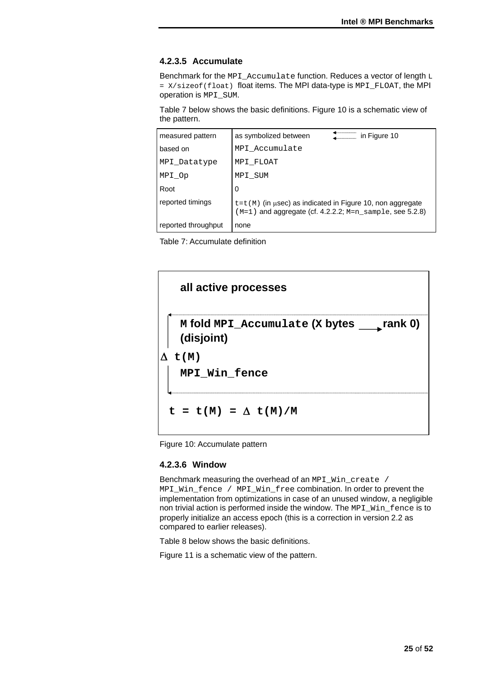### <span id="page-25-0"></span>**4.2.3.5 Accumulate**

Benchmark for the MPI\_Accumulate function. Reduces a vector of length L  $= X/sizeof(float)$  float items. The MPI data-type is MPI\_FLOAT, the MPI operation is MPI\_SUM.

Table 7 below shows the basic definitions. Figure 10 is a schematic view of the pattern.

| measured pattern    | as symbolized between                                         | in Figure 10                                                 |
|---------------------|---------------------------------------------------------------|--------------------------------------------------------------|
| based on            | MPI Accumulate                                                |                                                              |
| MPI Datatype        | MPI FLOAT                                                     |                                                              |
| MPI Op              | MPI SUM                                                       |                                                              |
| Root                | 0                                                             |                                                              |
| reported timings    | $t = t(M)$ (in usec) as indicated in Figure 10, non aggregate | $(M=1)$ and aggregate (cf. 4.2.2.2; $M=n$ sample, see 5.2.8) |
| reported throughput | none                                                          |                                                              |

Table 7: Accumulate definition



Figure 10: Accumulate pattern

#### **4.2.3.6 Window**

Benchmark measuring the overhead of an MPI\_Win\_create /

MPI\_Win\_fence / MPI\_Win\_free combination. In order to prevent the implementation from optimizations in case of an unused window, a negligible non trivial action is performed inside the window. The MPI\_Win\_fence is to properly initialize an access epoch (this is a correction in version 2.2 as compared to earlier releases).

Table 8 below shows the basic definitions.

Figure 11 is a schematic view of the pattern.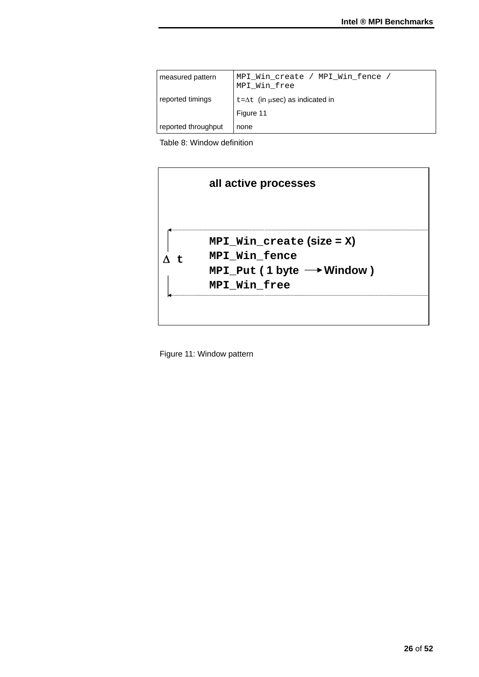| measured pattern    | MPI_Win_create / MPI_Win_fence /<br>MPI_Win_free |
|---------------------|--------------------------------------------------|
| reported timings    | $t = \Delta t$ (in usec) as indicated in         |
|                     | Figure 11                                        |
| reported throughput | none                                             |

Table 8: Window definition



Figure 11: Window pattern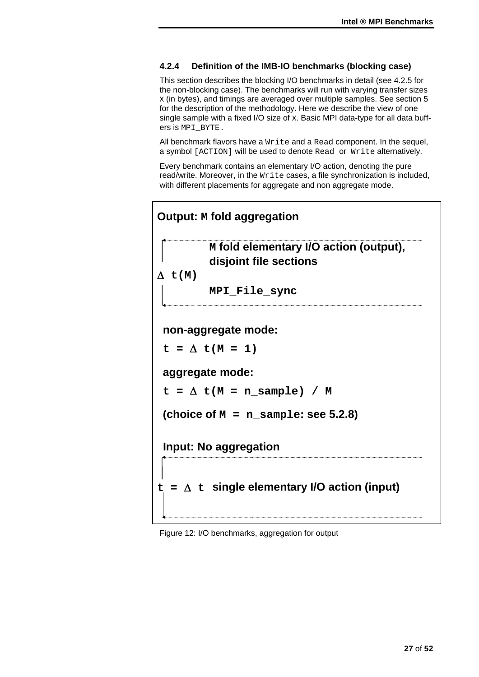### <span id="page-27-0"></span>**4.2.4 Definition of the IMB-IO benchmarks (blocking case)**

This section describes the blocking I/O benchmarks in detail (see 4.2.5 for the non-blocking case). The benchmarks will run with varying transfer sizes  $x$  (in bytes), and timings are averaged over multiple samples. See section  $5$ for the description of the methodology. Here we describe the view of one single sample with a fixed I/O size of  $x$ . Basic MPI data-type for all data buffers is MPI\_BYTE.

All benchmark flavors have a Write and a Read component. In the sequel, a symbol [ACTION] will be used to denote Read or Write alternatively.

Every benchmark contains an elementary I/O action, denoting the pure read/write. Moreover, in the Write cases, a file synchronization is included, with different placements for aggregate and non aggregate mode.



Figure 12: I/O benchmarks, aggregation for output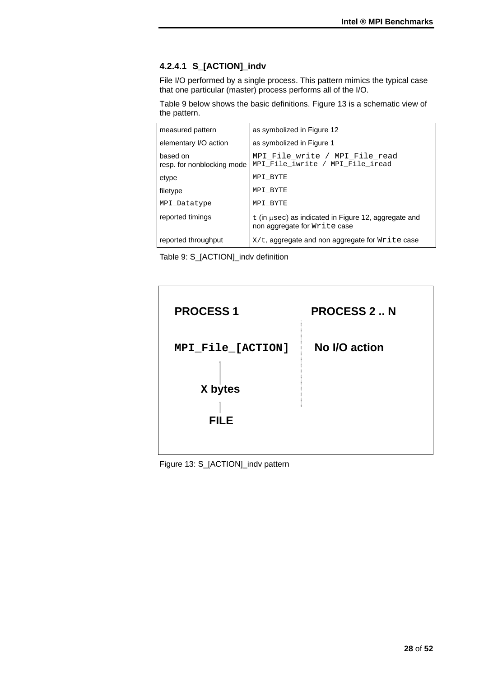# <span id="page-28-0"></span>**4.2.4.1 S\_[ACTION]\_indv**

File I/O performed by a single process. This pattern mimics the typical case that one particular (master) process performs all of the I/O.

Table 9 below shows the basic definitions. Figure 13 is a schematic view of the pattern.

| measured pattern                       | as symbolized in Figure 12                                                                  |
|----------------------------------------|---------------------------------------------------------------------------------------------|
| elementary I/O action                  | as symbolized in Figure 1                                                                   |
| based on<br>resp. for nonblocking mode | MPI_File_write / MPI_File_read<br>MPI_File_iwrite / MPI_File_iread                          |
| etype                                  | MPI BYTE                                                                                    |
| filetype                               | MPI BYTE                                                                                    |
| MPI Datatype                           | MPI BYTE                                                                                    |
| reported timings                       | $t$ (in $\mu$ sec) as indicated in Figure 12, aggregate and<br>non aggregate for Write case |
| reported throughput                    | $X/t$ , aggregate and non aggregate for $Write$ case                                        |

Table 9: S\_[ACTION]\_indv definition



Figure 13: S\_[ACTION]\_indv pattern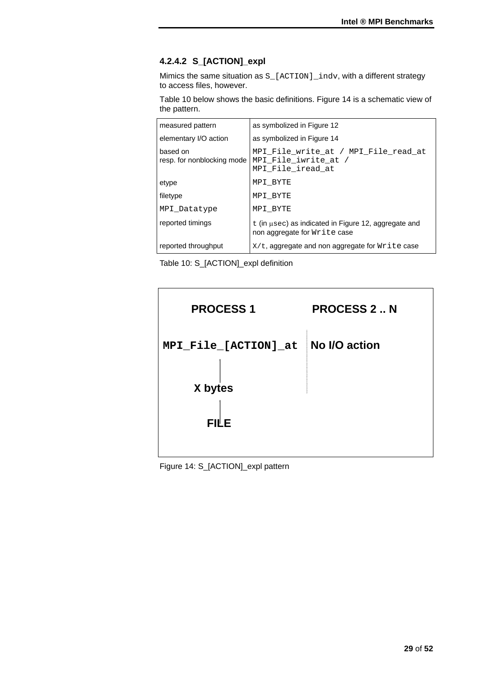# <span id="page-29-0"></span>**4.2.4.2 S\_[ACTION]\_expl**

Mimics the same situation as S\_[ACTION]\_indv, with a different strategy to access files, however.

Table 10 below shows the basic definitions. Figure 14 is a schematic view of the pattern.

| measured pattern                       | as symbolized in Figure 12                                                                  |
|----------------------------------------|---------------------------------------------------------------------------------------------|
| elementary I/O action                  | as symbolized in Figure 14                                                                  |
| based on<br>resp. for nonblocking mode | MPI_File_write_at / MPI_File_read_at<br>MPI File iwrite at /<br>MPI File iread at           |
| etype                                  | MPI BYTE                                                                                    |
| filetype                               | MPI BYTE                                                                                    |
| MPI Datatype                           | MPI BYTE                                                                                    |
| reported timings                       | $t$ (in $\mu$ sec) as indicated in Figure 12, aggregate and<br>non aggregate for Write case |
| reported throughput                    | X/t, aggregate and non aggregate for Write case                                             |

Table 10: S\_[ACTION]\_expl definition



<span id="page-29-1"></span>Figure 14: S\_[ACTION]\_expl pattern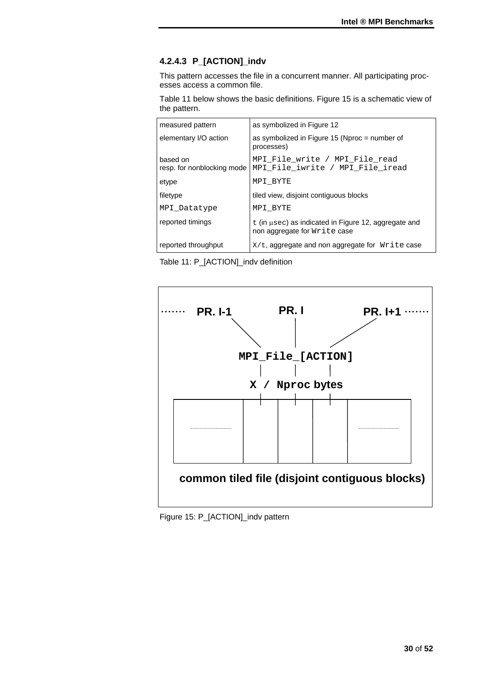# <span id="page-30-0"></span>**4.2.4.3 P\_[ACTION]\_indv**

This pattern accesses the file in a concurrent manner. All participating processes access a common file.

Table 11 below shows the basic definitions. Figure 15 is a schematic view of the pattern.

| measured pattern                       | as symbolized in Figure 12                                                                  |
|----------------------------------------|---------------------------------------------------------------------------------------------|
| elementary I/O action                  | as symbolized in Figure 15 (Nproc = number of<br>processes)                                 |
| based on<br>resp. for nonblocking mode | MPI File write / MPI File read<br>MPI_File_iwrite / MPI_File_iread                          |
| etype                                  | MPI BYTE                                                                                    |
| filetype                               | tiled view, disjoint contiguous blocks                                                      |
| MPI Datatype                           | MPI BYTE                                                                                    |
| reported timings                       | $t$ (in $\mu$ sec) as indicated in Figure 12, aggregate and<br>non aggregate for Write case |
| reported throughput                    | $X/t$ , aggregate and non aggregate for $Write$ case                                        |

Table 11: P\_[ACTION]\_indv definition



<span id="page-30-1"></span>Figure 15: P\_[ACTION]\_indv pattern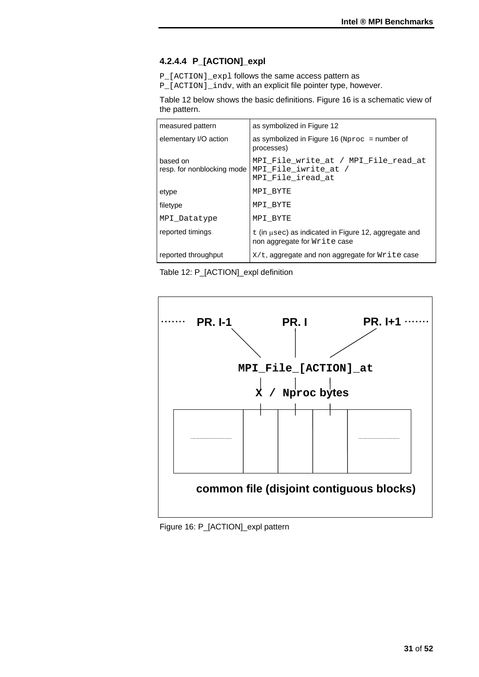# <span id="page-31-0"></span>**4.2.4.4 P\_[ACTION]\_expl**

P\_[ACTION]\_expl follows the same access pattern as

P [ACTION] indv, with an explicit file pointer type, however.

Table 12 below shows the basic definitions. Figure 16 is a schematic view of the pattern.

| measured pattern                       | as symbolized in Figure 12                                                                  |
|----------------------------------------|---------------------------------------------------------------------------------------------|
| elementary I/O action                  | as symbolized in Figure 16 ( $Nproc = number of$<br>processes)                              |
| based on<br>resp. for nonblocking mode | MPI File write at / MPI File read at<br>MPI_File_iwrite_at /<br>MPI File iread at           |
| etype                                  | MPI BYTE                                                                                    |
| filetype                               | MPI BYTE                                                                                    |
| MPI Datatype                           | MPI BYTE                                                                                    |
| reported timings                       | $t$ (in $\mu$ sec) as indicated in Figure 12, aggregate and<br>non aggregate for Write case |
| reported throughput                    | $X/t$ , aggregate and non aggregate for $Write$ case                                        |

Table 12: P\_[ACTION]\_expl definition



<span id="page-31-1"></span>Figure 16: P\_[ACTION]\_expl pattern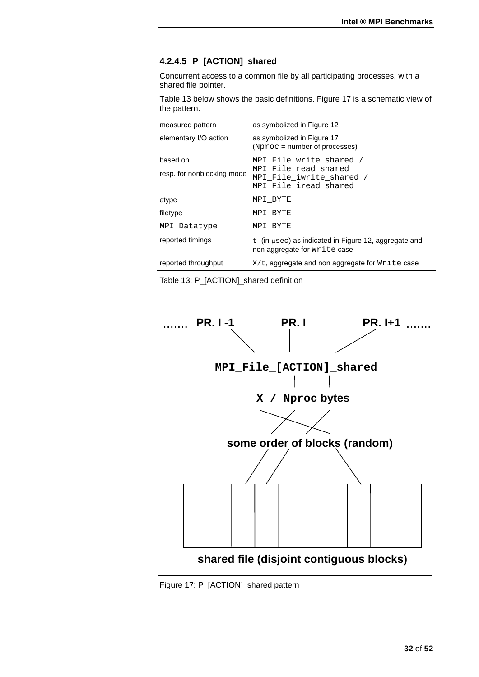# <span id="page-32-0"></span>**4.2.4.5 P\_[ACTION]\_shared**

Concurrent access to a common file by all participating processes, with a shared file pointer.

Table 13 below shows the basic definitions. Figure 17 is a schematic view of the pattern.

| measured pattern                       | as symbolized in Figure 12                                                                           |
|----------------------------------------|------------------------------------------------------------------------------------------------------|
| elementary I/O action                  | as symbolized in Figure 17<br>$(Nproc = number of processes)$                                        |
| based on<br>resp. for nonblocking mode | MPI File write shared /<br>MPI File read shared<br>MPI File iwrite shared /<br>MPI_File_iread_shared |
| etype                                  | MPI BYTE                                                                                             |
| filetype                               | MPI BYTE                                                                                             |
| MPI Datatype                           | MPI BYTE                                                                                             |
| reported timings                       | $t$ (in $\mu$ sec) as indicated in Figure 12, aggregate and<br>non aggregate for Write case          |
| reported throughput                    | $X/t$ , aggregate and non aggregate for $Write$ case                                                 |

Table 13: P\_[ACTION]\_shared definition



<span id="page-32-1"></span>Figure 17: P\_[ACTION]\_shared pattern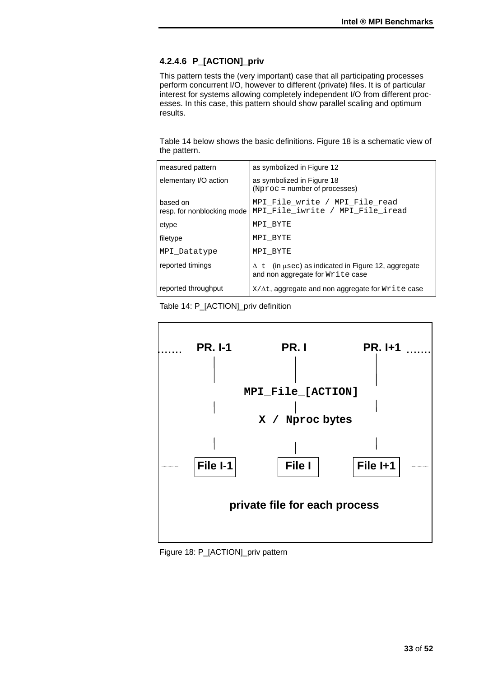# <span id="page-33-0"></span>**4.2.4.6 P\_[ACTION]\_priv**

This pattern tests the (very important) case that all participating processes perform concurrent I/O, however to different (private) files. It is of particular interest for systems allowing completely independent I/O from different processes. In this case, this pattern should show parallel scaling and optimum results.

Table 14 below shows the basic definitions. Figure 18 is a schematic view of the pattern.

| measured pattern                       | as symbolized in Figure 12                                                                    |
|----------------------------------------|-----------------------------------------------------------------------------------------------|
| elementary I/O action                  | as symbolized in Figure 18<br>$(Nproc = number of processes)$                                 |
| based on<br>resp. for nonblocking mode | MPI File write / MPI File read<br>MPI_File_iwrite / MPI_File_iread                            |
| etype                                  | MPI BYTE                                                                                      |
| filetype                               | MPI BYTE                                                                                      |
| MPI Datatype                           | MPI BYTE                                                                                      |
| reported timings                       | $\Delta$ t (in usec) as indicated in Figure 12, aggregate<br>and non aggregate for Write case |
| reported throughput                    | X/ $\Delta t$ , aggregate and non aggregate for Write case                                    |

Table 14: P\_[ACTION]\_priv definition



Figure 18: P\_[ACTION]\_priv pattern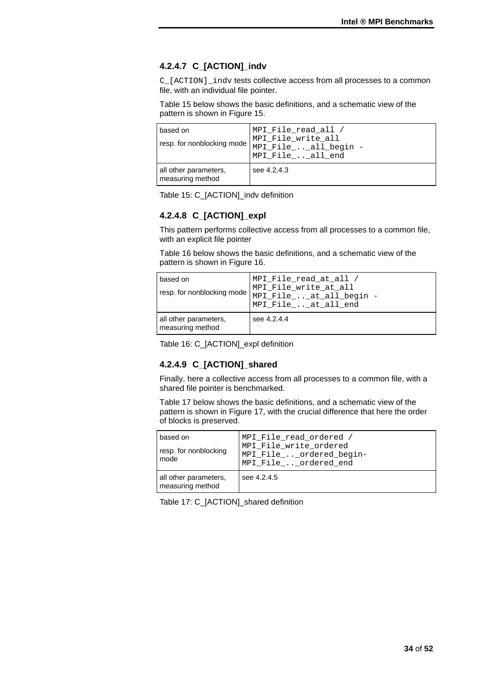# <span id="page-34-0"></span>**4.2.4.7 C\_[ACTION]\_indv**

C\_[ACTION]\_indv tests collective access from all processes to a common file, with an individual file pointer.

Table 15 below shows the basic definitions, and a schematic view of the pattern is shown in Figure 15.

| based on<br>resp. for nonblocking mode    | MPI File read all /<br>MPI File write all<br>MPI_File__all_begin -<br>MPI_File__all_end |
|-------------------------------------------|-----------------------------------------------------------------------------------------|
| all other parameters,<br>measuring method | see 4.2.4.3                                                                             |

Table 15: C\_[ACTION]\_indv definition

### **4.2.4.8 C\_[ACTION]\_expl**

This pattern performs collective access from all processes to a common file, with an explicit file pointer

Table 16 below shows the basic definitions, and a schematic view of the pattern is shown in Figure 16.

| based on<br>resp. for nonblocking mode    | MPI_File_read_at_all /<br>MPI_File_write_at_all<br>MPI_File__at_all_begin -<br>MPI_File__at_all_end |
|-------------------------------------------|-----------------------------------------------------------------------------------------------------|
| all other parameters,<br>measuring method | see 4.2.4.4                                                                                         |

Table 16: C\_[ACTION]\_expl definition

# **4.2.4.9 C\_[ACTION]\_shared**

Finally, here a collective access from all processes to a common file, with a shared file pointer is benchmarked.

Table 17 below shows the basic definitions, and a schematic view of the pattern is shown in Figure 17, with the crucial difference that here the order of blocks is preserved.

| based on<br>resp. for nonblocking<br>mode | MPI File read ordered /<br>MPI File write ordered<br>MPI_File__ordered_begin-<br>MPI_File__ordered_end |  |
|-------------------------------------------|--------------------------------------------------------------------------------------------------------|--|
| all other parameters,<br>measuring method | see 4.2.4.5                                                                                            |  |

Table 17: C\_[ACTION]\_shared definition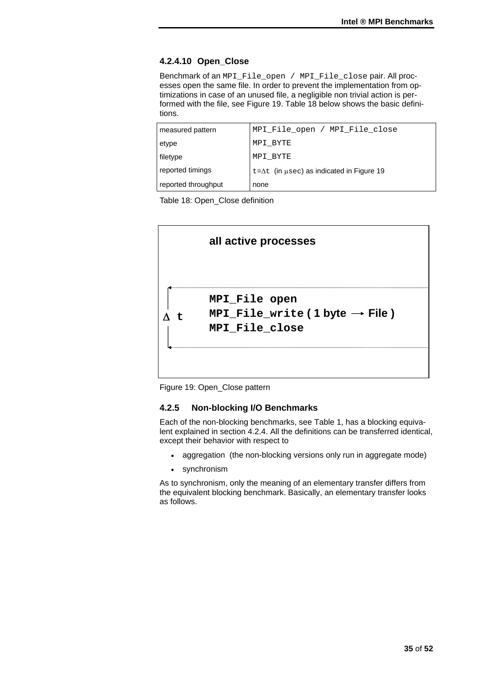### <span id="page-35-0"></span>**4.2.4.10 Open\_Close**

Benchmark of an MPI\_File\_open / MPI\_File\_close pair. All processes open the same file. In order to prevent the implementation from optimizations in case of an unused file, a negligible non trivial action is performed with the file, see Figure 19. Table 18 below shows the basic definitions.

| measured pattern    | MPI_File_open / MPI_File_close                          |
|---------------------|---------------------------------------------------------|
| etype               | MPI BYTE                                                |
| filetype            | MPI BYTE                                                |
| reported timings    | $t = \Delta t$ (in $\mu$ sec) as indicated in Figure 19 |
| reported throughput | none                                                    |

Table 18: Open\_Close definition



<span id="page-35-1"></span>Figure 19: Open\_Close pattern

#### **4.2.5 Non-blocking I/O Benchmarks**

Each of the non-blocking benchmarks, see Table 1, has a blocking equivalent explained in section 4.2.4. All the definitions can be transferred identical, except their behavior with respect to

- aggregation (the non-blocking versions only run in aggregate mode)
- synchronism

As to synchronism, only the meaning of an elementary transfer differs from the equivalent blocking benchmark. Basically, an elementary transfer looks as follows.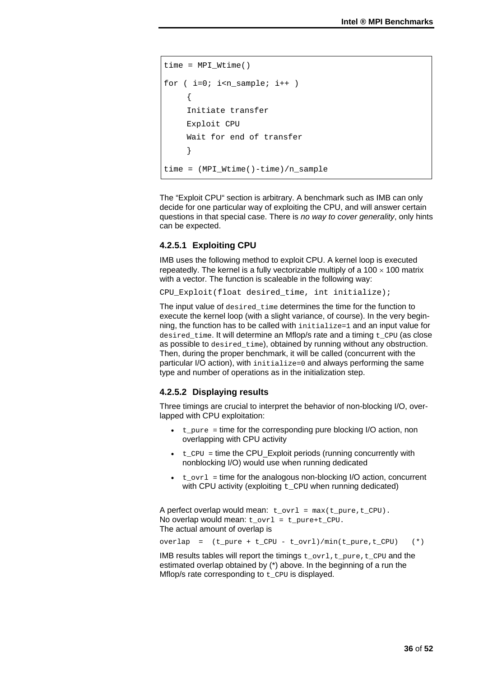```
time = MPI_Wtime()
for ( i=0; i<sub>m</sub> sample; i++ )
     { 
     Initiate transfer 
     Exploit CPU 
     Wait for end of transfer 
     } 
time = (MPI_Wtime()-time)/n_sample
```
The "Exploit CPU" section is arbitrary. A benchmark such as IMB can only decide for one particular way of exploiting the CPU, and will answer certain questions in that special case. There is *no way to cover generality*, only hints can be expected.

### **4.2.5.1 Exploiting CPU**

IMB uses the following method to exploit CPU. A kernel loop is executed repeatedly. The kernel is a fully vectorizable multiply of a 100  $\times$  100 matrix with a vector. The function is scaleable in the following way:

CPU\_Exploit(float desired\_time, int initialize);

The input value of desired time determines the time for the function to execute the kernel loop (with a slight variance, of course). In the very beginning, the function has to be called with initialize=1 and an input value for desired\_time. It will determine an Mflop/s rate and a timing t\_CPU (as close as possible to desired\_time), obtained by running without any obstruction. Then, during the proper benchmark, it will be called (concurrent with the particular I/O action), with initialize=0 and always performing the same type and number of operations as in the initialization step.

#### **4.2.5.2 Displaying results**

Three timings are crucial to interpret the behavior of non-blocking I/O, overlapped with CPU exploitation:

- $\cdot$  t\_pure = time for the corresponding pure blocking I/O action, non overlapping with CPU activity
- $t$   $CPU =$  time the CPU Exploit periods (running concurrently with nonblocking I/O) would use when running dedicated
- $\cdot$   $t_{\text{over1}}$  = time for the analogous non-blocking I/O action, concurrent with CPU activity (exploiting  $t$ \_CPU when running dedicated)

A perfect overlap would mean:  $t_{ov1} = max(t_{pure}, t_{CPU})$ . No overlap would mean: t\_ovrl = t\_pure+t\_CPU. The actual amount of overlap is

 $overlap = (t\_pure + t\_CPU - t\_ovrl)/min(t\_pure, t\_CPU)$  (\*)

IMB results tables will report the timings  $t_$  ovrl,  $t_$  pure,  $t_$  CPU and the estimated overlap obtained by (\*) above. In the beginning of a run the Mflop/s rate corresponding to  $t$   $\sim$  CPU is displayed.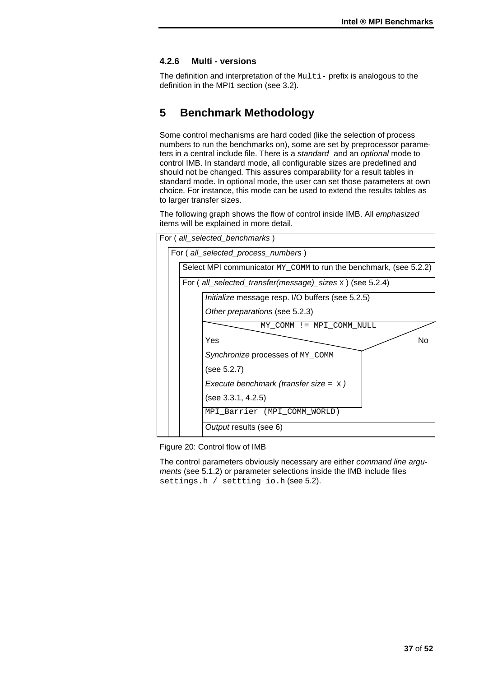#### <span id="page-37-0"></span>**4.2.6 Multi - versions**

The definition and interpretation of the Multi- prefix is analogous to the definition in the MPI1 section (see 3.2).

# <span id="page-37-1"></span>**5 Benchmark Methodology**

Some control mechanisms are hard coded (like the selection of process numbers to run the benchmarks on), some are set by preprocessor parameters in a central include file. There is a *standard* and an *optional* mode to control IMB. In standard mode, all configurable sizes are predefined and should not be changed. This assures comparability for a result tables in standard mode. In optional mode, the user can set those parameters at own choice. For instance, this mode can be used to extend the results tables as to larger transfer sizes.

The following graph shows the flow of control inside IMB. All *emphasized*  items will be explained in more detail.

| For (all_selected_benchmarks)  |  |                                                                   |  |
|--------------------------------|--|-------------------------------------------------------------------|--|
|                                |  | For (all_selected_process_numbers)                                |  |
|                                |  | Select MPI communicator MY_COMM to run the benchmark, (see 5.2.2) |  |
|                                |  | For ( $all\_selected\_transfer(message)\_size x$ ) (see 5.2.4)    |  |
|                                |  | Initialize message resp. I/O buffers (see 5.2.5)                  |  |
| Other preparations (see 5.2.3) |  |                                                                   |  |
|                                |  | MY COMM != MPI COMM NULL                                          |  |
|                                |  | Yes<br>No                                                         |  |
|                                |  | Synchronize processes of MY_COMM                                  |  |
|                                |  | (see 5.2.7)                                                       |  |
|                                |  | Execute benchmark (transfer size = $x$ )                          |  |
|                                |  | (see 3.3.1, 4.2.5)                                                |  |
|                                |  | MPI_Barrier (MPI_COMM_WORLD)                                      |  |
|                                |  | Output results (see 6)                                            |  |

<span id="page-37-2"></span>Figure 20: Control flow of IMB

The control parameters obviously necessary are either *command line arguments* (see 5.1.2) or parameter selections inside the IMB include files settings.h / settting\_io.h (see 5.2).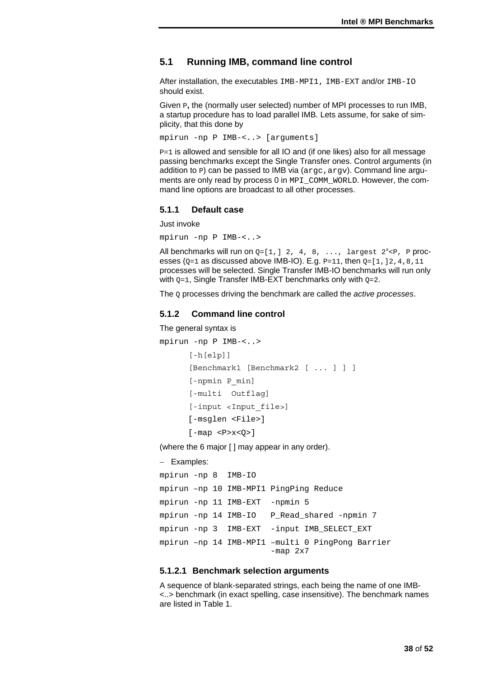# <span id="page-38-0"></span>**5.1 Running IMB, command line control**

After installation, the executables IMB-MPI1, IMB-EXT and/or IMB-IO should exist.

Given P**,** the (normally user selected) number of MPI processes to run IMB, a startup procedure has to load parallel IMB. Lets assume, for sake of simplicity, that this done by

mpirun -np P IMB-<..> [arguments]

P=1 is allowed and sensible for all IO and (if one likes) also for all message passing benchmarks except the Single Transfer ones. Control arguments (in addition to  $P$ ) can be passed to IMB via ( $\arg c$ ,  $\arg w$ ). Command line arguments are only read by process 0 in MPI\_COMM\_WORLD. However, the command line options are broadcast to all other processes.

#### **5.1.1 Default case**

Just invoke

mpirun -np P IMB-<..>

All benchmarks will run on  $Q=[1, 1, 2, 4, 8, \ldots, \text{largest } 2^{x} < P$ , P processes ( $Q=1$  as discussed above IMB-IO). E.g.  $P=11$ , then  $Q=[1,12,4,8,11]$ processes will be selected. Single Transfer IMB-IO benchmarks will run only with  $Q=1$ , Single Transfer IMB-EXT benchmarks only with  $Q=2$ .

The o processes driving the benchmark are called the *active processes*.

#### **5.1.2 Command line control**

The general syntax is

```
mpirun -np P IMB-<..> 
       [-h[elp]] 
       [Benchmark1 [Benchmark2 [ ... ] ] ] 
        [-npmin P_min] 
       [-multi Outflag] 
       [-input <Input_file>] 
       [-msglen <File>] 
      [-map <P> x < Q>]
```
(where the 6 major [ ] may appear in any order).

#### − Examples:

```
mpirun -np 8 IMB-IO 
mpirun –np 10 IMB-MPI1 PingPing Reduce 
mpirun -np 11 IMB-EXT -npmin 5 
mpirun -np 14 IMB-IO P_Read_shared -npmin 7 
mpirun -np 3 IMB-EXT -input IMB_SELECT_EXT 
mpirun –np 14 IMB-MPI1 –multi 0 PingPong Barrier 
                        -map 2x7
```
#### **5.1.2.1 Benchmark selection arguments**

A sequence of blank-separated strings, each being the name of one IMB- <..> benchmark (in exact spelling, case insensitive). The benchmark names are listed in Table 1.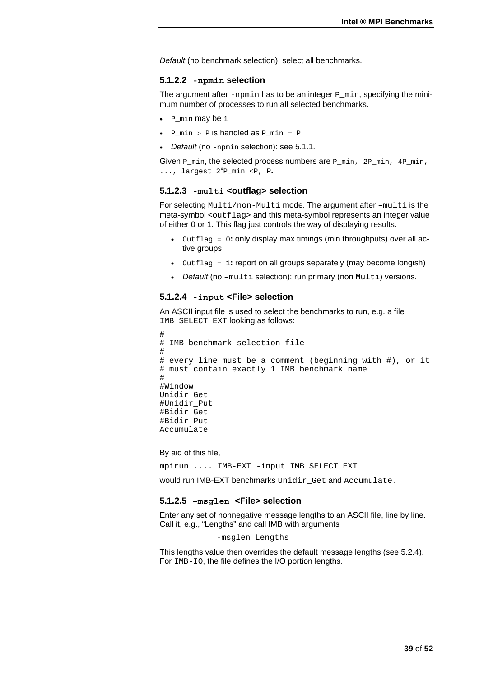<span id="page-39-2"></span><span id="page-39-0"></span>*Default* (no benchmark selection): select all benchmarks.

#### **5.1.2.2 -npmin selection**

The argument after  $-\text{ppmin}$  has to be an integer  $P_{\text{min}}$ , specifying the minimum number of processes to run all selected benchmarks.

- P\_min may be 1
- P\_min > P is handled as P\_min = P
- *Default* (no -npmin selection): see 5.1.1.

Given  $P_{min}$ , the selected process numbers are  $P_{min}$ , 2P\_min, 4P\_min, ..., largest 2<sup>x</sup>P\_min <P, P.

#### <span id="page-39-3"></span>**5.1.2.3 -multi <outflag> selection**

For selecting Multi/non-Multi mode. The argument after –multi is the meta-symbol <outflag> and this meta-symbol represents an integer value of either 0 or 1. This flag just controls the way of displaying results.

- Outflag = 0**:** only display max timings (min throughputs) over all active groups
- Outflag = 1**:** report on all groups separately (may become longish)
- *Default* (no -multi selection): run primary (non Multi) versions.

#### **5.1.2.4 -input <File> selection**

An ASCII input file is used to select the benchmarks to run, e.g. a file IMB\_SELECT\_EXT looking as follows:

```
# 
# IMB benchmark selection file 
# 
# every line must be a comment (beginning with #), or it 
# must contain exactly 1 IMB benchmark name 
# 
#Window 
Unidir_Get 
#Unidir_Put 
#Bidir_Get 
#Bidir_Put 
Accumulate
```
By aid of this file,

mpirun .... IMB-EXT -input IMB\_SELECT\_EXT

would run IMB-EXT benchmarks Unidir Get and Accumulate.

#### <span id="page-39-1"></span>**5.1.2.5 –msglen <File> selection**

Enter any set of nonnegative message lengths to an ASCII file, line by line. Call it, e.g., "Lengths" and call IMB with arguments

-msglen Lengths

This lengths value then overrides the default message lengths (see 5.2.4). For IMB-IO, the file defines the I/O portion lengths.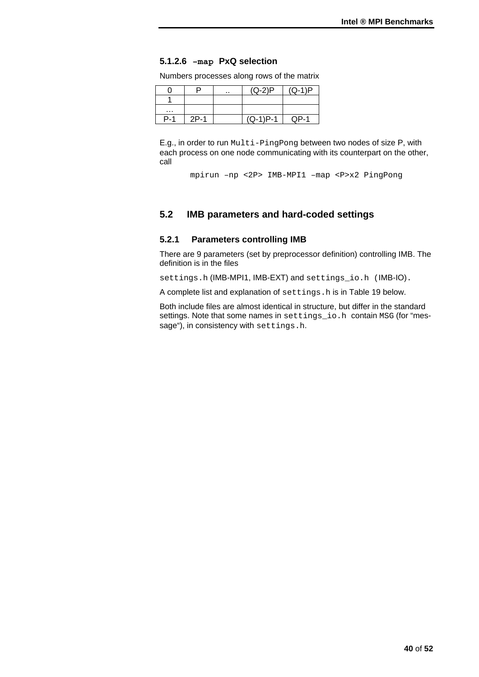#### <span id="page-40-0"></span>**5.1.2.6 –map PxQ selection**

Numbers processes along rows of the matrix

<span id="page-40-2"></span>

|          |        | $\mathbf{r}$ | $(Q-2)P$   | $(Q-1)P$      |
|----------|--------|--------------|------------|---------------|
|          |        |              |            |               |
| $\cdots$ |        |              |            |               |
| P-1      | $2P-1$ |              | $(Q-1)P-1$ | $\bigcap P-1$ |

E.g., in order to run Multi-PingPong between two nodes of size P, with each process on one node communicating with its counterpart on the other, call

mpirun –np <2P> IMB-MPI1 –map <P>x2 PingPong

# **5.2 IMB parameters and hard-coded settings**

#### <span id="page-40-1"></span>**5.2.1 Parameters controlling IMB**

There are 9 parameters (set by preprocessor definition) controlling IMB. The definition is in the files

settings.h (IMB-MPI1, IMB-EXT) and settings\_io.h (IMB-IO).

A complete list and explanation of settings.h is in Table 19 below.

Both include files are almost identical in structure, but differ in the standard settings. Note that some names in settings\_io.h contain MSG (for "message"), in consistency with settings.h.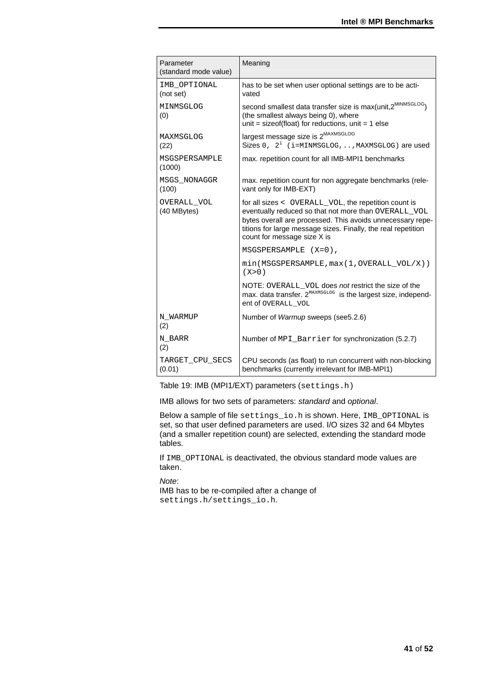| Parameter<br>(standard mode value) | Meaning                                                                                                                                                                                                                                                                    |  |
|------------------------------------|----------------------------------------------------------------------------------------------------------------------------------------------------------------------------------------------------------------------------------------------------------------------------|--|
| IMB OPTIONAL<br>(not set)          | has to be set when user optional settings are to be acti-<br>vated                                                                                                                                                                                                         |  |
| MINMSGLOG<br>(0)                   | second smallest data transfer size is max(unit,2 <sup>MINMSGLOG</sup> )<br>(the smallest always being 0), where<br>unit = sizeof(float) for reductions, unit = $1$ else                                                                                                    |  |
| MAXMSGLOG<br>(22)                  | largest message size is 2 <sup>MAXMSGLOG</sup><br>Sizes $0, 2^i$ (i=MINMSGLOG, , MAXMSGLOG) are used                                                                                                                                                                       |  |
| MSGSPERSAMPLE<br>(1000)            | max. repetition count for all IMB-MPI1 benchmarks                                                                                                                                                                                                                          |  |
| MSGS NONAGGR<br>(100)              | max. repetition count for non aggregate benchmarks (rele-<br>vant only for IMB-EXT)                                                                                                                                                                                        |  |
| OVERALL VOL<br>(40 MBytes)         | for all sizes < OVERALL VOL, the repetition count is<br>eventually reduced so that not more than OVERALL_VOL<br>bytes overall are processed. This avoids unnecessary repe-<br>titions for large message sizes. Finally, the real repetition<br>count for message size X is |  |
|                                    | MSGSPERSAMPLE $(X=0)$ ,                                                                                                                                                                                                                                                    |  |
|                                    | $min(MSGSPERSAMPLE, max(1, OVERALL_VOL/X))$<br>(X>0)                                                                                                                                                                                                                       |  |
|                                    | NOTE: OVERALL_VOL does not restrict the size of the<br>max. data transfer. 2 <sup>MAXMSGLOG</sup> is the largest size, independ-<br>ent of OVERALL_VOL                                                                                                                     |  |
| N WARMUP<br>(2)                    | Number of Warmup sweeps (see5.2.6)                                                                                                                                                                                                                                         |  |
| N BARR<br>(2)                      | Number of MPI_Barrier for synchronization (5.2.7)                                                                                                                                                                                                                          |  |
| TARGET_CPU_SECS<br>(0.01)          | CPU seconds (as float) to run concurrent with non-blocking<br>benchmarks (currently irrelevant for IMB-MPI1)                                                                                                                                                               |  |

Table 19: IMB (MPI1/EXT) parameters (settings.h)

IMB allows for two sets of parameters: *standard* and *optional*.

Below a sample of file settings\_io.h is shown. Here, IMB\_OPTIONAL is set, so that user defined parameters are used. I/O sizes 32 and 64 Mbytes (and a smaller repetition count) are selected, extending the standard mode tables.

If IMB\_OPTIONAL is deactivated, the obvious standard mode values are taken.

*Note*:

IMB has to be re-compiled after a change of settings.h/settings\_io.h.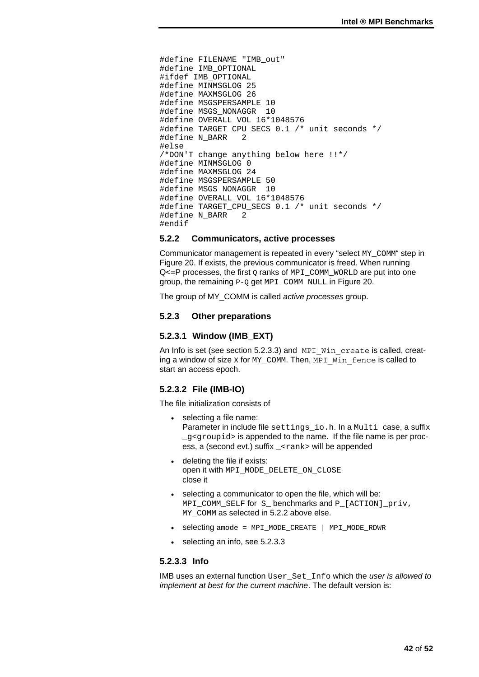<span id="page-42-0"></span>#define FILENAME "IMB\_out" #define IMB\_OPTIONAL #ifdef IMB\_OPTIONAL #define MINMSGLOG 25 #define MAXMSGLOG 26 #define MSGSPERSAMPLE 10 #define MSGS\_NONAGGR 10 #define OVERALL VOL 16\*1048576 #define TARGET\_CPU\_SECS 0.1 /\* unit seconds \*/ #define N\_BARR 2 #else /\*DON'T change anything below here !!\*/ #define MINMSGLOG 0 #define MAXMSGLOG 24 #define MSGSPERSAMPLE 50 #define MSGS\_NONAGGR 10 #define OVERALL\_VOL 16\*1048576 #define TARGET\_CPU\_SECS 0.1 /\* unit seconds \*/ #define N\_BARR 2 #endif

#### <span id="page-42-1"></span>**5.2.2 Communicators, active processes**

Communicator management is repeated in every "select MY\_COMM" step in [Figure 20.](#page-42-2) If exists, the previous communicator is freed. When running  $Q \le P$  processes, the first  $Q$  ranks of MPI\_COMM\_WORLD are put into one group, the remaining P-Q get MPI\_COMM\_NULL in [Figure 20](#page-42-2).

The group of MY\_COMM is called *active processes* group.

#### **5.2.3 Other preparations**

#### **5.2.3.1 Window (IMB\_EXT)**

An Info is set (see section 5.2.3.3) and MPI Win create is called, creating a window of size  $x$  for  $MY\_{COMM}$ . Then, MPI Win fence is called to start an access epoch.

#### **5.2.3.2 File (IMB-IO)**

The file initialization consists of

- selecting a file name: Parameter in include file settings\_io.h. In a Multi case, a suffix \_g<groupid> is appended to the name. If the file name is per process, a (second evt.) suffix <rank> will be appended
- deleting the file if exists: open it with MPI\_MODE\_DELETE\_ON\_CLOSE close it
- selecting a communicator to open the file, which will be: MPI\_COMM\_SELF for S\_ benchmarks and P\_[ACTION]\_priv, MY COMM as selected in 5.2.2 above else.
- selecting amode = MPI\_MODE\_CREATE | MPI\_MODE\_RDWR
- selecting an info, see 5.2.3.3

#### <span id="page-42-2"></span>**5.2.3.3 Info**

IMB uses an external function User\_Set\_Info which the *user is allowed to implement at best for the current machine*. The default version is: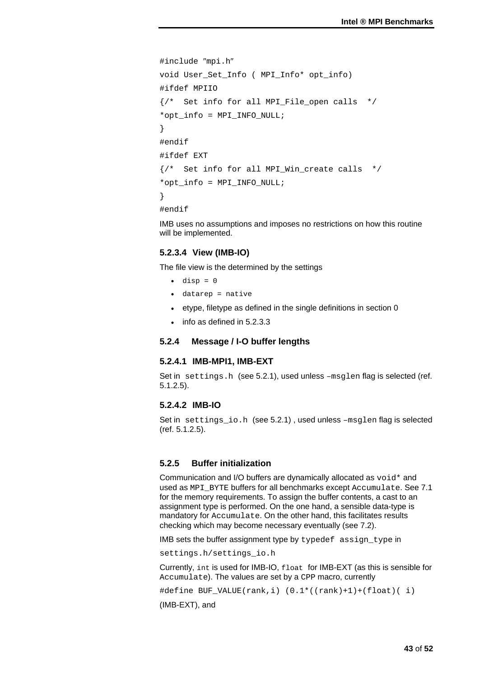```
#include ″mpi.h″
void User_Set_Info ( MPI_Info* opt_info) 
#ifdef MPIIO 
{/* Set info for all MPI_File_open calls */ 
*opt_info = MPI_INFO_NULL; 
} 
#endif 
#ifdef EXT 
{/* Set info for all MPI_Win_create calls */ 
*opt_info = MPI_INFO_NULL; 
} 
#endif
```
IMB uses no assumptions and imposes no restrictions on how this routine will be implemented.

#### **5.2.3.4 View (IMB-IO)**

The file view is the determined by the settings

- $\bullet$  disp =  $0$
- datarep = native
- etype, filetype as defined in the single definitions in section [0](#page-40-1)
- info as defined in 5.2.3.3

#### <span id="page-43-1"></span>**5.2.4 Message / I-O buffer lengths**

#### **5.2.4.1 IMB-MPI1, IMB-EXT**

Set in settings.h (see 5.2.1), used unless -msglen flag is selected (ref. 5.1.2.5).

#### **5.2.4.2 IMB-IO**

Set in settings io.h (see 5.2.1), used unless –msglen flag is selected (ref. 5.1.2.5).

#### **5.2.5 Buffer initialization**

Communication and I/O buffers are dynamically allocated as void\* and used as MPI\_BYTE buffers for all benchmarks except Accumulate. See 7.1 for the memory requirements. To assign the buffer contents, a cast to an assignment type is performed. On the one hand, a sensible data-type is mandatory for Accumulate. On the other hand, this facilitates results checking which may become necessary eventually (see 7.2).

IMB sets the buffer assignment type by typedef assign\_type in

settings.h/settings\_io.h

Currently, int is used for IMB-IO, float for IMB-EXT (as this is sensible for Accumulate). The values are set by a CPP macro, currently

#define BUF\_VALUE(rank,i) (0.1\*((rank)+1)+(float)( i)

(IMB-EXT), and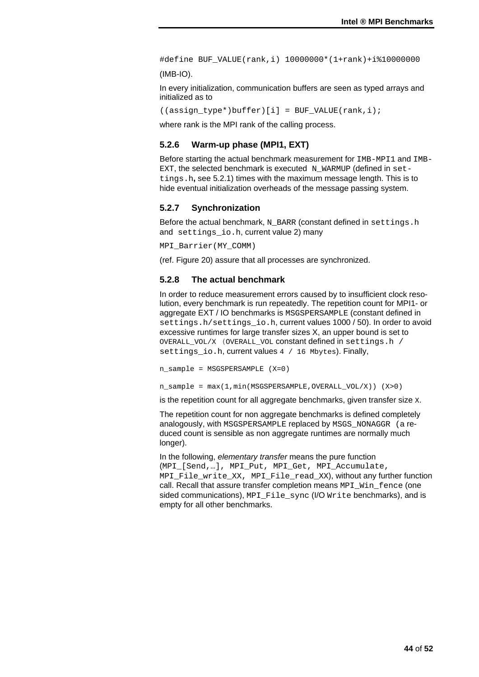<span id="page-44-0"></span>#define BUF\_VALUE(rank,i) 10000000\*(1+rank)+i%10000000

(IMB-IO).

In every initialization, communication buffers are seen as typed arrays and initialized as to

 $((\text{assign type*})\text{buffer})[i] = \text{BUFVALUE}(\text{rank},i);$ 

where rank is the MPI rank of the calling process.

### **5.2.6 Warm-up phase (MPI1, EXT)**

Before starting the actual benchmark measurement for IMB-MPI1 and IMB-EXT, the selected benchmark is executed N\_WARMUP (defined in settings.h**,** see [5.2.1](#page-37-2)) times with the maximum message length. This is to hide eventual initialization overheads of the message passing system.

#### **5.2.7 Synchronization**

Before the actual benchmark, N\_BARR (constant defined in settings.h and settings io.h, current value 2) many

MPI Barrier(MY\_COMM)

(ref. Figure 20) assure that all processes are synchronized.

#### **5.2.8 The actual benchmark**

In order to reduce measurement errors caused by to insufficient clock resolution, every benchmark is run repeatedly. The repetition count for MPI1- or aggregate EXT / IO benchmarks is MSGSPERSAMPLE (constant defined in settings.h/settings io.h, current values 1000 / 50). In order to avoid excessive runtimes for large transfer sizes X, an upper bound is set to OVERALL\_VOL/X (OVERALL\_VOL constant defined in settings.h / settings io.h, current values  $4 / 16$  Mbytes). Finally,

 $n$  sample = MSGSPERSAMPLE (X=0)

n\_sample = max(1,min(MSGSPERSAMPLE,OVERALL\_VOL/X)) (X>0)

is the repetition count for all aggregate benchmarks, given transfer size x.

The repetition count for non aggregate benchmarks is defined completely analogously, with MSGSPERSAMPLE replaced by MSGS\_NONAGGR (a reduced count is sensible as non aggregate runtimes are normally much longer).

In the following, *elementary transfer* means the pure function (MPI\_[Send,…], MPI\_Put, MPI\_Get, MPI\_Accumulate, MPI\_File\_write\_XX, MPI\_File\_read\_XX), without any further function call. Recall that assure transfer completion means MPI\_Win\_fence (one sided communications), MPI\_File\_sync (I/O Write benchmarks), and is empty for all other benchmarks.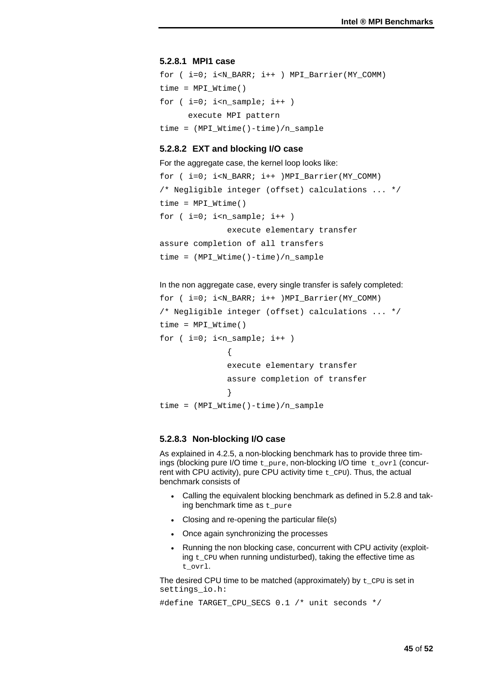#### <span id="page-45-0"></span>**5.2.8.1 MPI1 case**

for ( i=0; i<N\_BARR; i++ ) MPI\_Barrier(MY\_COMM) time = MPI\_Wtime() for  $(i=0; i sample;  $i++$  )$  execute MPI pattern time =  $(MPI Wtime() - time)/n$  sample

#### **5.2.8.2 EXT and blocking I/O case**

For the aggregate case, the kernel loop looks like:

for ( i=0; i<N\_BARR; i++ )MPI\_Barrier(MY\_COMM) /\* Negligible integer (offset) calculations ... \*/ time = MPI Wtime() for ( $i=0$ ;  $i<sub>on</sub>$  sample;  $i++$  ) execute elementary transfer assure completion of all transfers time = (MPI\_Wtime()-time)/n\_sample

In the non aggregate case, every single transfer is safely completed:

```
for ( i=0; i< N BARR; i++ )MPI_Barrier(MY_COMM)
/* Negligible integer (offset) calculations ... */ 
time = MPI_Wtime() 
for ( i=0; i<n_sample; i++ ) 
\{ execute elementary transfer 
              assure completion of transfer 
 } 
time = (MPI Wtime() - time)/n sample
```
#### **5.2.8.3 Non-blocking I/O case**

As explained in 4.2.5, a non-blocking benchmark has to provide three timings (blocking pure I/O time  $t_2$  pure, non-blocking I/O time  $t_1$  ovrl (concurrent with CPU activity), pure CPU activity time  $t$ <sub>\_CPU</sub>). Thus, the actual benchmark consists of

- Calling the equivalent blocking benchmark as defined in 5.2.8 and taking benchmark time as t\_pure
- Closing and re-opening the particular file(s)
- Once again synchronizing the processes
- Running the non blocking case, concurrent with CPU activity (exploiting  $t$ \_ $CPU$  when running undisturbed), taking the effective time as t\_ovrl.

The desired CPU time to be matched (approximately) by  $t$ \_CPU is set in settings\_io.h:

#define TARGET\_CPU\_SECS 0.1 /\* unit seconds \*/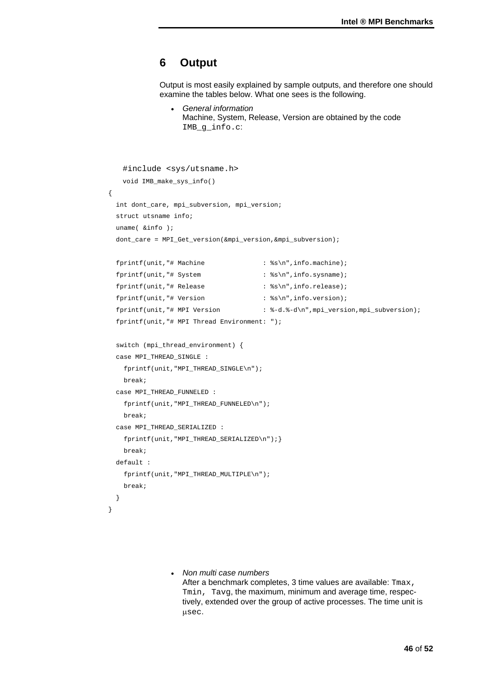# <span id="page-46-0"></span>**6 Output**

Output is most easily explained by sample outputs, and therefore one should examine the tables below. What one sees is the following.

• *General information* Machine, System, Release, Version are obtained by the code IMB\_g\_info.c:

```
 #include <sys/utsname.h> 
    void IMB_make_sys_info() 
{ 
   int dont_care, mpi_subversion, mpi_version; 
   struct utsname info; 
  uname( &info ); 
  dont_care = MPI_Get_version(&mpi_version,&mpi_subversion); 
  fprintf(unit,"# Machine : %s\n",info.machine);
  fprintf(unit,"# System : %s\n",info.sysname);
  fprintf(unit,"# Release : %s\n",info.release);
   fprintf(unit,"# Version : %s\n",info.version); 
   fprintf(unit,"# MPI Version : %-d.%-d\n",mpi_version,mpi_subversion); 
   fprintf(unit,"# MPI Thread Environment: "); 
   switch (mpi_thread_environment) { 
  case MPI_THREAD_SINGLE : 
    fprintf(unit,"MPI_THREAD_SINGLE\n"); 
    break; 
   case MPI_THREAD_FUNNELED : 
    fprintf(unit,"MPI_THREAD_FUNNELED\n"); 
    break; 
  case MPI_THREAD_SERIALIZED : 
    fprintf(unit,"MPI_THREAD_SERIALIZED\n");} 
    break; 
  default : 
   fprintf(unit, "MPI_THREAD_MULTIPLE\n");
    break; 
   } 
}
```
• *Non multi case numbers* After a benchmark completes, 3 time values are available: Tmax, Tmin, Tavg, the maximum, minimum and average time, respectively, extended over the group of active processes. The time unit is μsec.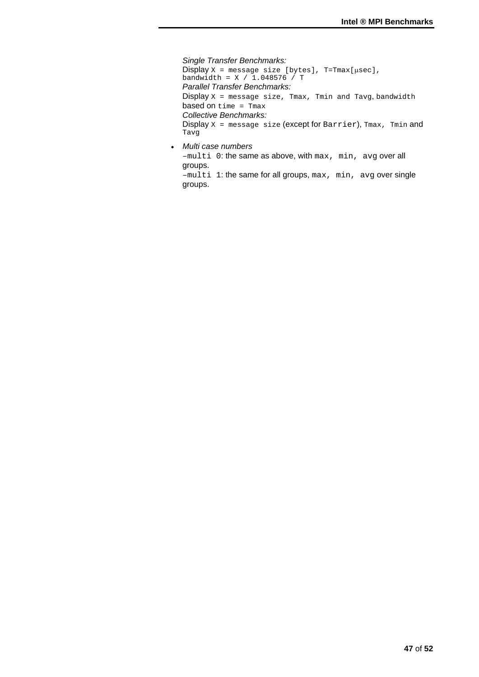*Single Transfer Benchmarks:* Display X = message size [bytes], T=Tmax[μsec], bandwidth = X / 1.048576 / T *Parallel Transfer Benchmarks:*  $Display X = message size, Tmax, Tmin and Tavg, bandwidth$ based on time = Tmax *Collective Benchmarks:*  Display x = message size (except for Barrier), Tmax, Tmin and Tavg

• *Multi case numbers* 

–multi 0: the same as above, with max, min, avg over all groups.

–multi 1: the same for all groups, max, min, avg over single groups.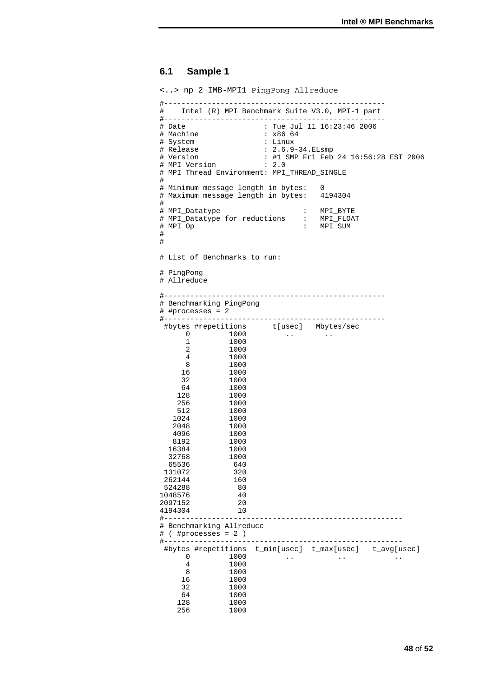# <span id="page-48-0"></span>**6.1 Sample 1**

<..> np 2 IMB-MPI1 PingPong Allreduce #--------------------------------------------------- Intel (R) MPI Benchmark Suite V3.0, MPI-1 part #--------------------------------------------------- # Date : Tue Jul 11 16:23:46 2006 : x86\_64<br>: Linux # System<br># Release # Release : 2.6.9-34.ELsmp : #1 SMP Fri Feb 24 16:56:28 EST 2006<br>: 2.0 # MPI Version # MPI Thread Environment: MPI\_THREAD\_SINGLE # # Minimum message length in bytes: 0 # Maximum message length in bytes: #<br># MPI Datatvpe # MPI\_Datatype : MPI\_BYTE # MPI\_Datatype for reductions : MPI\_FLOAT # MPI\_Op : MPI\_SUM # # # List of Benchmarks to run: # PingPong # Allreduce #--------------------------------------------------- # Benchmarking PingPong # #processes = 2<br>#---------------#--------------------------------------------------- #bytes #repetitions t[usec] Mbytes/sec 0 1000  $\mu$  1000  $\mu$  1000  $\mu$  1000  $\mu$  $\begin{array}{cc} 1 & 1000 \\ 2 & 1000 \end{array}$  $\begin{array}{ccc} 2 & \hspace{1.5mm} 1000 \\ 4 & \hspace{1.5mm} 1000 \end{array}$  4 1000 8 1000 16 1000 32 1000 64 1000<br>128 1000 1000 256 1000<br>512 1000 512 1000<br>1024 1000 1024 1000 2048 1000 1000 8192 1000 16384 32768 1000 65536 640<br>131072 320 131072 320<br>262144 160 262144 160<br>524288 80 524288 80<br>048576 40 1048576<br>2097152  $\frac{20}{20}$ 4194304 10<br>#-----------------------#------------------------------------------------------- # Benchmarking Allreduce # ( #processes = 2 ) #------------------------------------------------------- #bytes #repetitions t\_min[usec] t\_max[usec] t\_avg[usec]  $\begin{array}{ccccccccccc} 0 & & & 1000 & & & \dots & & & & - & \end{array}$  .  $\frac{4}{8}$  1000 8 1000<br>16 1000 16 1000<br>32 1000 32 1000  $\begin{array}{cc} 52 \\ 64 \end{array}$  1000<br>128 1000 128 1000<br>256 1000 1000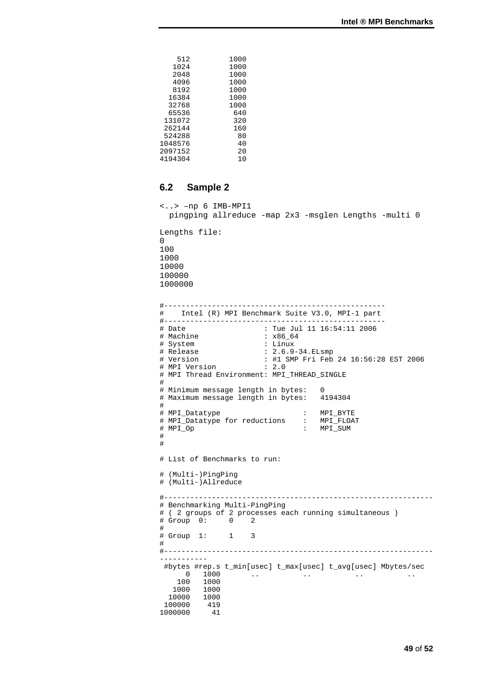<span id="page-49-0"></span>

| 512     | 1000 |
|---------|------|
| 1024    | 1000 |
| 2048    | 1000 |
| 4096    | 1000 |
| 8192    | 1000 |
| 16384   | 1000 |
| 32768   | 1000 |
| 65536   | 640  |
| 131072  | 320  |
| 262144  | 160  |
| 524288  | 80   |
| 1048576 | 40   |
| 2097152 | 20   |
| 4194304 |      |

# **6.2 Sample 2**

```
<..> –np 6 IMB-MPI1 
   pingping allreduce -map 2x3 -msglen Lengths -multi 0 
Lengths file: 
0 
100 
1000 
10000 
100000 
1000000 
#--------------------------------------------------- 
# Intel (R) MPI Benchmark Suite V3.0, MPI-1 part 
#--------------------------------------------------- 
# Date : Tue Jul 11 16:54:11 2006<br># Machine : x86 64
                       : x8664# System : Linux 
# Release : 2.6.9-34.ELsmp 
# Version : #1 SMP Fri Feb 24 16:56:28 EST 2006 
                \frac{+}{2.0}# MPI Thread Environment: MPI_THREAD_SINGLE 
# 
# Minimum message length in bytes: 0 
# Maximum message length in bytes:
# 
# MPI_Datatype : MPI_BYTE 
# MPI_Datatype for reductions : MPI_FLO<br># MPI_Op : MPI_SUM
# MPI_Op
# 
# 
# List of Benchmarks to run: 
# (Multi-)PingPing 
# (Multi-)Allreduce 
#-------------------------------------------------------------- 
# Benchmarking Multi-PingPing 
\frac{m}{t} ( 2 groups of 2 processes each running simultaneous )<br># Group 0: 0 2
# Group 0: 0 2 
# 
# Group 1: 1 3 
# 
#--------------------------------------------------------------
----------- 
  #bytes #rep.s t_min[usec] t_max[usec] t_avg[usec] Mbytes/sec 
   0 \t 1000 \t ... \t ... \t ...<br>100 1000
  100 1000<br>1000 1000
 1000 1000<br>10000 1000
 10000 1000<br>100000 419
        000 -<br>419<br>41
1000000
```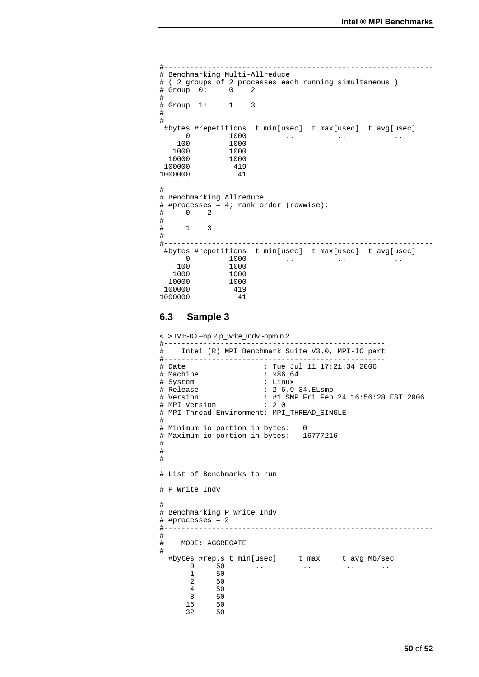```
#-------------------------------------------------------------- 
# Benchmarking Multi-Allreduce 
# ( 2 groups of 2 processes each running simultaneous )<br># Group 0: 0 2
# Group 0: 0 2 
# 
# Group 1: 1 3 
# 
#-------------------------------------------------------------- 
 #bytes #repetitions t_min[usec] t_max[usec] t_avg[usec] 0 1000 ... \cdot0 \t 1000 \t ... \t ... \t ...100 1000<br>1000 1000
 1000 1000<br>10000 1000
               1000<br>419
100000 419<br>1000000 41
1000000
#-------------------------------------------------------------- 
# Benchmarking Allreduce 
# #processes = 4; rank order (rowwise): 
    0 2
\begin{array}{c} \# \\ \# \end{array}\frac{1}{3}# 
#-------------------------------------------------------------- 
 #bytes #repetitions t_min[usec] t_max[usec] t_avg[usec] 
     0 1000 .. .. .. 
  100 1000<br>1000 1000
               \frac{1}{1000}10000 1000<br>100000 419
100000 419<br>000000 41
1000000
```
#### **6.3 Sample 3**

<..> IMB-IO –np 2 p\_write\_indv -npmin 2

```
#--------------------------------------------------- 
# Intel (R) MPI Benchmark Suite V3.0, MPI-IO part 
#----------------------------<br># Date :
                            : Tue Jul 11 17:21:34 2006<br>: x86_64
# Machine : x86_64<br># System : Linux
# System<br># Release
# Release : 2.6.9-34.ELsmp 
                       # Version : #1 SMP Fri Feb 24 16:56:28 EST 2006 
# MPI Version
# MPI Thread Environment: MPI_THREAD_SINGLE 
# 
# Minimum io portion in bytes: 0 
# Maximum io portion in bytes: 16777216 
# 
# 
# 
# List of Benchmarks to run: 
# P_Write_Indv 
#-------------------------------------------------------------- 
# Benchmarking P_Write_Indv 
# #processes = 2<br>#---------------
    #-------------------------------------------------------------- 
\begin{array}{c} \# \\ \# \end{array}MODE: AGGREGATE
# 
 #bytes #rep.s t_min[usec] t_max t_avg Mb/sec 
0 50 .. .. .. .. ..
        \begin{array}{ccc} 1 & 50 \\ 2 & 50 \end{array}\begin{array}{ccc} 2 & & 50 \\ 4 & & 50 \end{array}\frac{4}{8} 50
              \frac{50}{50}16<br>32
               32 50
```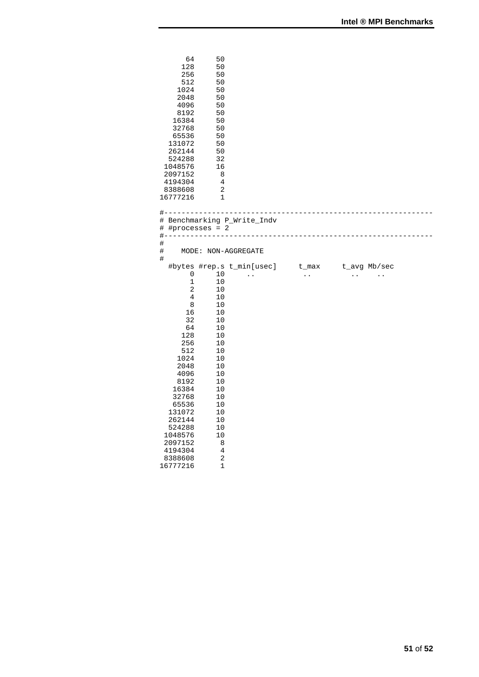| 64<br>128<br>256<br>512<br>1024<br>2048<br>4096<br>8192<br>16384<br>32768<br>65536<br>131072<br>262144<br>524288<br>1048576<br>2097152<br>4194304<br>8388608<br>16777216 | 50<br>50<br>50<br>50<br>50<br>50<br>50<br>50<br>50<br>50<br>50<br>50<br>50<br>-32<br>16<br>- 8<br>$\overline{4}$<br>2<br>1 |                             |               |                                                    |  |
|--------------------------------------------------------------------------------------------------------------------------------------------------------------------------|----------------------------------------------------------------------------------------------------------------------------|-----------------------------|---------------|----------------------------------------------------|--|
|                                                                                                                                                                          |                                                                                                                            | # Benchmarking P_Write_Indv |               |                                                    |  |
| # #processes = 2<br>#-------------------                                                                                                                                 |                                                                                                                            |                             |               |                                                    |  |
| #<br>#                                                                                                                                                                   |                                                                                                                            |                             |               |                                                    |  |
| #                                                                                                                                                                        |                                                                                                                            | MODE: NON-AGGREGATE         |               |                                                    |  |
| 0                                                                                                                                                                        | 10                                                                                                                         |                             |               |                                                    |  |
| $\mathbf 1$                                                                                                                                                              |                                                                                                                            | $\ddot{\phantom{0}}$        | $\sim$ $\sim$ | <b>Contract Contract</b><br>$\ddot{\phantom{1}}$ . |  |
|                                                                                                                                                                          | 10                                                                                                                         |                             |               |                                                    |  |
| 2                                                                                                                                                                        | 10                                                                                                                         |                             |               |                                                    |  |
| 4                                                                                                                                                                        | 10                                                                                                                         |                             |               |                                                    |  |
| 8<br>16                                                                                                                                                                  | 10<br>10                                                                                                                   |                             |               |                                                    |  |
| 32                                                                                                                                                                       | 10                                                                                                                         |                             |               |                                                    |  |
| 64                                                                                                                                                                       | 10                                                                                                                         |                             |               |                                                    |  |
| 128<br>256                                                                                                                                                               | 10<br>10                                                                                                                   |                             |               |                                                    |  |
| 512                                                                                                                                                                      | 10                                                                                                                         |                             |               |                                                    |  |
| 1024                                                                                                                                                                     | 10                                                                                                                         |                             |               |                                                    |  |
| 2048<br>4096                                                                                                                                                             | 10<br>10                                                                                                                   |                             |               |                                                    |  |
| 8192                                                                                                                                                                     | 10                                                                                                                         |                             |               |                                                    |  |
| 16384                                                                                                                                                                    | 10                                                                                                                         |                             |               |                                                    |  |
| 32768<br>65536                                                                                                                                                           | 10<br>10                                                                                                                   |                             |               |                                                    |  |
| 131072                                                                                                                                                                   | 10                                                                                                                         |                             |               |                                                    |  |
| 262144                                                                                                                                                                   | 10                                                                                                                         |                             |               |                                                    |  |
| 524288<br>1048576                                                                                                                                                        | 10<br>10                                                                                                                   |                             |               |                                                    |  |
| 2097152                                                                                                                                                                  | 8                                                                                                                          |                             |               |                                                    |  |
| 4194304<br>8388608                                                                                                                                                       | 4<br>2                                                                                                                     |                             |               |                                                    |  |